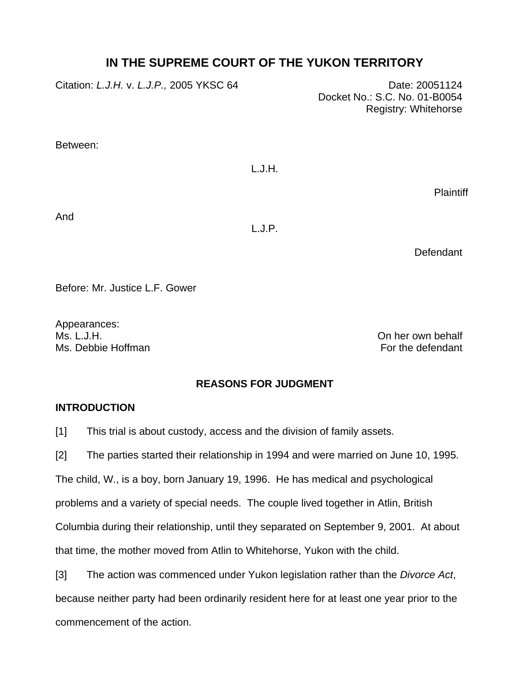# **IN THE SUPREME COURT OF THE YUKON TERRITORY**

| Citation: L.J.H. v. L.J.P., 2005 YKSC 64 |        | Date: 20051124<br>Docket No.: S.C. No. 01-B0054<br>Registry: Whitehorse |
|------------------------------------------|--------|-------------------------------------------------------------------------|
| Between:                                 |        |                                                                         |
|                                          | L.J.H. |                                                                         |
|                                          |        | Plaintiff                                                               |

And

L.J.P.

**Defendant** 

Before: Mr. Justice L.F. Gower

Appearances:<br>Ms. L.J.H. Ms. Debbie Hoffman **For the defendant** 

On her own behalf

## **REASONS FOR JUDGMENT**

## **INTRODUCTION**

[1] This trial is about custody, access and the division of family assets.

[2] The parties started their relationship in 1994 and were married on June 10, 1995.

The child, W., is a boy, born January 19, 1996. He has medical and psychological

problems and a variety of special needs. The couple lived together in Atlin, British

Columbia during their relationship, until they separated on September 9, 2001. At about

that time, the mother moved from Atlin to Whitehorse, Yukon with the child.

[3] The action was commenced under Yukon legislation rather than the *Divorce Act*, because neither party had been ordinarily resident here for at least one year prior to the commencement of the action.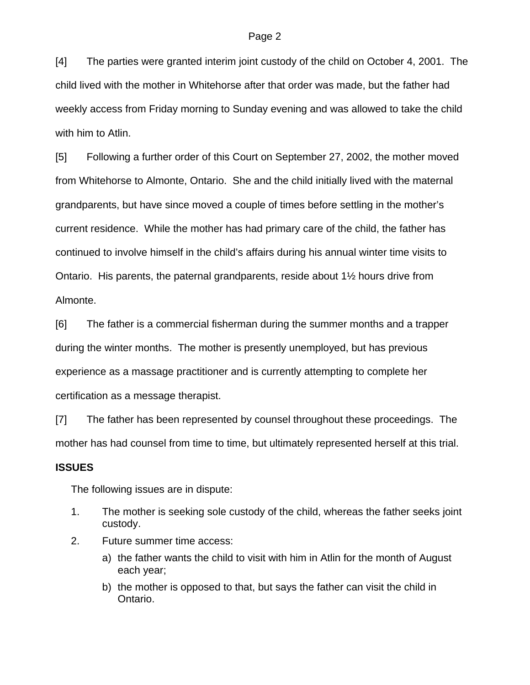[4] The parties were granted interim joint custody of the child on October 4, 2001. The child lived with the mother in Whitehorse after that order was made, but the father had weekly access from Friday morning to Sunday evening and was allowed to take the child with him to Atlin.

[5] Following a further order of this Court on September 27, 2002, the mother moved from Whitehorse to Almonte, Ontario. She and the child initially lived with the maternal grandparents, but have since moved a couple of times before settling in the mother's current residence. While the mother has had primary care of the child, the father has continued to involve himself in the child's affairs during his annual winter time visits to Ontario. His parents, the paternal grandparents, reside about 1½ hours drive from Almonte.

[6] The father is a commercial fisherman during the summer months and a trapper during the winter months. The mother is presently unemployed, but has previous experience as a massage practitioner and is currently attempting to complete her certification as a message therapist.

[7] The father has been represented by counsel throughout these proceedings. The mother has had counsel from time to time, but ultimately represented herself at this trial.

## **ISSUES**

The following issues are in dispute:

- 1. The mother is seeking sole custody of the child, whereas the father seeks joint custody.
- 2. Future summer time access:
	- a) the father wants the child to visit with him in Atlin for the month of August each year;
	- b) the mother is opposed to that, but says the father can visit the child in Ontario.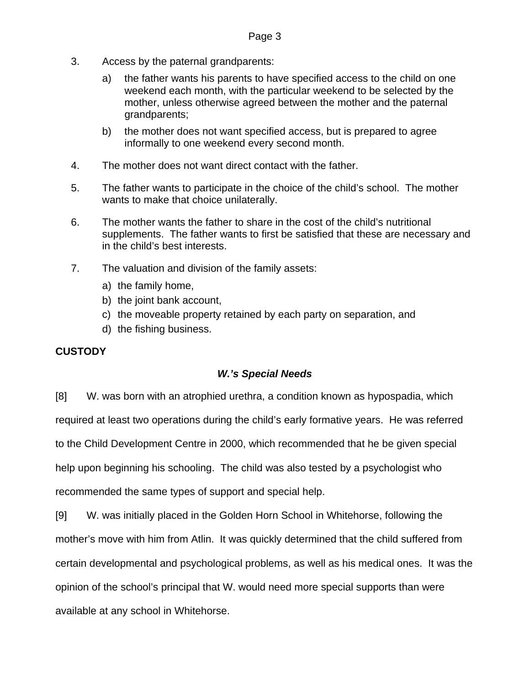- 3. Access by the paternal grandparents:
	- a) the father wants his parents to have specified access to the child on one weekend each month, with the particular weekend to be selected by the mother, unless otherwise agreed between the mother and the paternal grandparents;
	- b) the mother does not want specified access, but is prepared to agree informally to one weekend every second month.
- 4. The mother does not want direct contact with the father.
- 5. The father wants to participate in the choice of the child's school. The mother wants to make that choice unilaterally.
- 6. The mother wants the father to share in the cost of the child's nutritional supplements. The father wants to first be satisfied that these are necessary and in the child's best interests.
- 7. The valuation and division of the family assets:
	- a) the family home,
	- b) the joint bank account,
	- c) the moveable property retained by each party on separation, and
	- d) the fishing business.

## **CUSTODY**

## *W.'s Special Needs*

[8] W. was born with an atrophied urethra, a condition known as hypospadia, which required at least two operations during the child's early formative years. He was referred to the Child Development Centre in 2000, which recommended that he be given special help upon beginning his schooling. The child was also tested by a psychologist who recommended the same types of support and special help.

[9] W. was initially placed in the Golden Horn School in Whitehorse, following the mother's move with him from Atlin. It was quickly determined that the child suffered from certain developmental and psychological problems, as well as his medical ones. It was the opinion of the school's principal that W. would need more special supports than were available at any school in Whitehorse.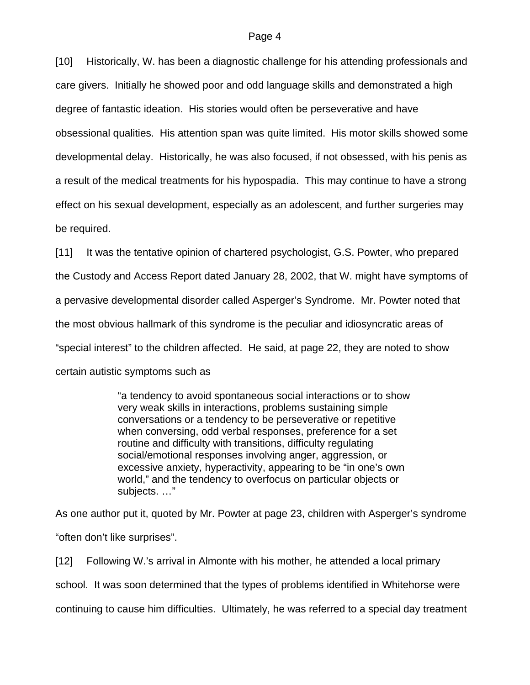[10] Historically, W. has been a diagnostic challenge for his attending professionals and care givers. Initially he showed poor and odd language skills and demonstrated a high degree of fantastic ideation. His stories would often be perseverative and have obsessional qualities. His attention span was quite limited. His motor skills showed some developmental delay. Historically, he was also focused, if not obsessed, with his penis as a result of the medical treatments for his hypospadia. This may continue to have a strong effect on his sexual development, especially as an adolescent, and further surgeries may be required.

[11] It was the tentative opinion of chartered psychologist, G.S. Powter, who prepared the Custody and Access Report dated January 28, 2002, that W. might have symptoms of a pervasive developmental disorder called Asperger's Syndrome. Mr. Powter noted that the most obvious hallmark of this syndrome is the peculiar and idiosyncratic areas of "special interest" to the children affected. He said, at page 22, they are noted to show certain autistic symptoms such as

> "a tendency to avoid spontaneous social interactions or to show very weak skills in interactions, problems sustaining simple conversations or a tendency to be perseverative or repetitive when conversing, odd verbal responses, preference for a set routine and difficulty with transitions, difficulty regulating social/emotional responses involving anger, aggression, or excessive anxiety, hyperactivity, appearing to be "in one's own world," and the tendency to overfocus on particular objects or subjects. …"

As one author put it, quoted by Mr. Powter at page 23, children with Asperger's syndrome "often don't like surprises".

[12] Following W.'s arrival in Almonte with his mother, he attended a local primary school. It was soon determined that the types of problems identified in Whitehorse were continuing to cause him difficulties. Ultimately, he was referred to a special day treatment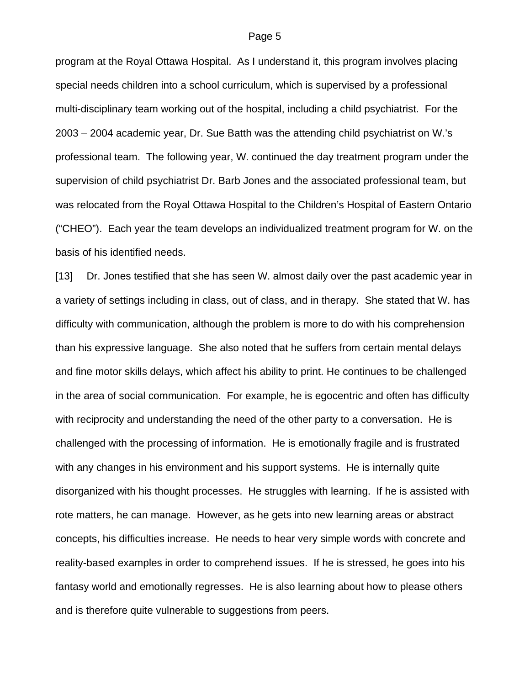program at the Royal Ottawa Hospital. As I understand it, this program involves placing special needs children into a school curriculum, which is supervised by a professional multi-disciplinary team working out of the hospital, including a child psychiatrist. For the 2003 – 2004 academic year, Dr. Sue Batth was the attending child psychiatrist on W.'s professional team. The following year, W. continued the day treatment program under the supervision of child psychiatrist Dr. Barb Jones and the associated professional team, but was relocated from the Royal Ottawa Hospital to the Children's Hospital of Eastern Ontario ("CHEO"). Each year the team develops an individualized treatment program for W. on the basis of his identified needs.

[13] Dr. Jones testified that she has seen W. almost daily over the past academic year in a variety of settings including in class, out of class, and in therapy. She stated that W. has difficulty with communication, although the problem is more to do with his comprehension than his expressive language. She also noted that he suffers from certain mental delays and fine motor skills delays, which affect his ability to print. He continues to be challenged in the area of social communication. For example, he is egocentric and often has difficulty with reciprocity and understanding the need of the other party to a conversation. He is challenged with the processing of information. He is emotionally fragile and is frustrated with any changes in his environment and his support systems. He is internally quite disorganized with his thought processes. He struggles with learning. If he is assisted with rote matters, he can manage. However, as he gets into new learning areas or abstract concepts, his difficulties increase. He needs to hear very simple words with concrete and reality-based examples in order to comprehend issues. If he is stressed, he goes into his fantasy world and emotionally regresses. He is also learning about how to please others and is therefore quite vulnerable to suggestions from peers.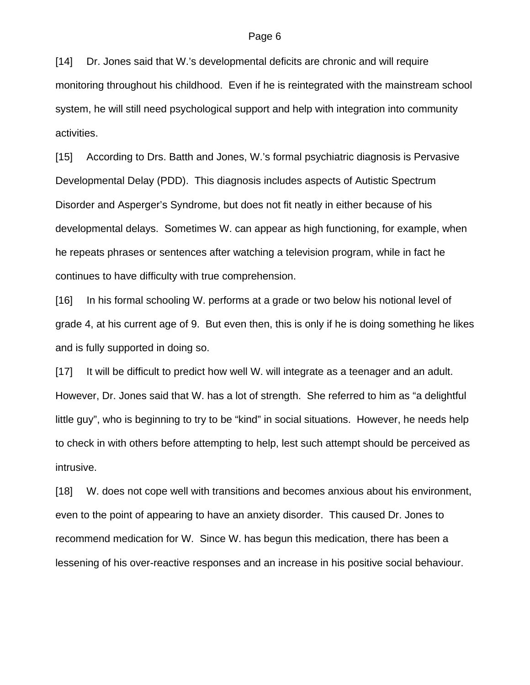[14] Dr. Jones said that W.'s developmental deficits are chronic and will require monitoring throughout his childhood. Even if he is reintegrated with the mainstream school system, he will still need psychological support and help with integration into community activities.

[15] According to Drs. Batth and Jones, W.'s formal psychiatric diagnosis is Pervasive Developmental Delay (PDD). This diagnosis includes aspects of Autistic Spectrum Disorder and Asperger's Syndrome, but does not fit neatly in either because of his developmental delays. Sometimes W. can appear as high functioning, for example, when he repeats phrases or sentences after watching a television program, while in fact he continues to have difficulty with true comprehension.

[16] In his formal schooling W. performs at a grade or two below his notional level of grade 4, at his current age of 9. But even then, this is only if he is doing something he likes and is fully supported in doing so.

[17] It will be difficult to predict how well W. will integrate as a teenager and an adult. However, Dr. Jones said that W. has a lot of strength. She referred to him as "a delightful little guy", who is beginning to try to be "kind" in social situations. However, he needs help to check in with others before attempting to help, lest such attempt should be perceived as intrusive.

[18] W. does not cope well with transitions and becomes anxious about his environment, even to the point of appearing to have an anxiety disorder. This caused Dr. Jones to recommend medication for W. Since W. has begun this medication, there has been a lessening of his over-reactive responses and an increase in his positive social behaviour.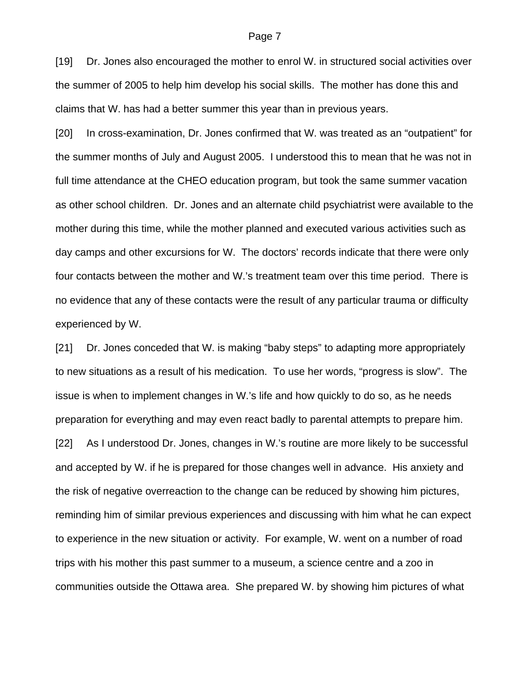[19] Dr. Jones also encouraged the mother to enrol W. in structured social activities over the summer of 2005 to help him develop his social skills. The mother has done this and claims that W. has had a better summer this year than in previous years.

[20] In cross-examination, Dr. Jones confirmed that W. was treated as an "outpatient" for the summer months of July and August 2005. I understood this to mean that he was not in full time attendance at the CHEO education program, but took the same summer vacation as other school children. Dr. Jones and an alternate child psychiatrist were available to the mother during this time, while the mother planned and executed various activities such as day camps and other excursions for W. The doctors' records indicate that there were only four contacts between the mother and W.'s treatment team over this time period. There is no evidence that any of these contacts were the result of any particular trauma or difficulty experienced by W.

[21] Dr. Jones conceded that W. is making "baby steps" to adapting more appropriately to new situations as a result of his medication. To use her words, "progress is slow". The issue is when to implement changes in W.'s life and how quickly to do so, as he needs preparation for everything and may even react badly to parental attempts to prepare him. [22] As I understood Dr. Jones, changes in W.'s routine are more likely to be successful and accepted by W. if he is prepared for those changes well in advance. His anxiety and the risk of negative overreaction to the change can be reduced by showing him pictures, reminding him of similar previous experiences and discussing with him what he can expect to experience in the new situation or activity. For example, W. went on a number of road trips with his mother this past summer to a museum, a science centre and a zoo in communities outside the Ottawa area. She prepared W. by showing him pictures of what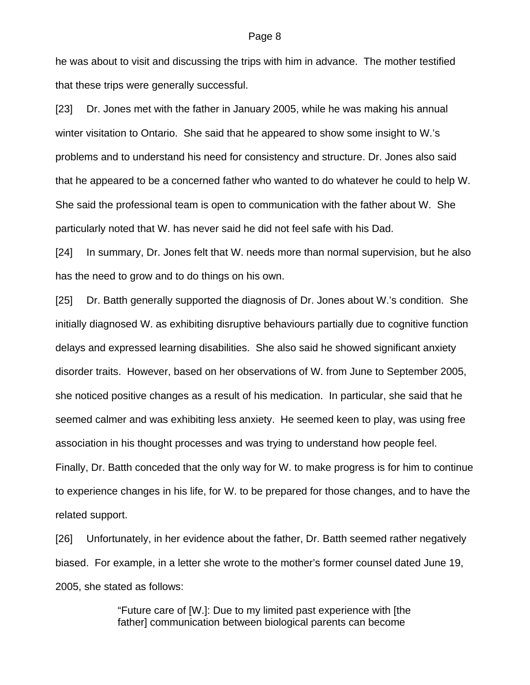he was about to visit and discussing the trips with him in advance. The mother testified that these trips were generally successful.

[23] Dr. Jones met with the father in January 2005, while he was making his annual winter visitation to Ontario. She said that he appeared to show some insight to W.'s problems and to understand his need for consistency and structure. Dr. Jones also said that he appeared to be a concerned father who wanted to do whatever he could to help W. She said the professional team is open to communication with the father about W. She particularly noted that W. has never said he did not feel safe with his Dad.

[24] In summary, Dr. Jones felt that W. needs more than normal supervision, but he also has the need to grow and to do things on his own.

[25] Dr. Batth generally supported the diagnosis of Dr. Jones about W.'s condition. She initially diagnosed W. as exhibiting disruptive behaviours partially due to cognitive function delays and expressed learning disabilities. She also said he showed significant anxiety disorder traits. However, based on her observations of W. from June to September 2005, she noticed positive changes as a result of his medication. In particular, she said that he seemed calmer and was exhibiting less anxiety. He seemed keen to play, was using free association in his thought processes and was trying to understand how people feel.

Finally, Dr. Batth conceded that the only way for W. to make progress is for him to continue to experience changes in his life, for W. to be prepared for those changes, and to have the related support.

[26] Unfortunately, in her evidence about the father, Dr. Batth seemed rather negatively biased. For example, in a letter she wrote to the mother's former counsel dated June 19, 2005, she stated as follows:

> "Future care of [W.]: Due to my limited past experience with [the father] communication between biological parents can become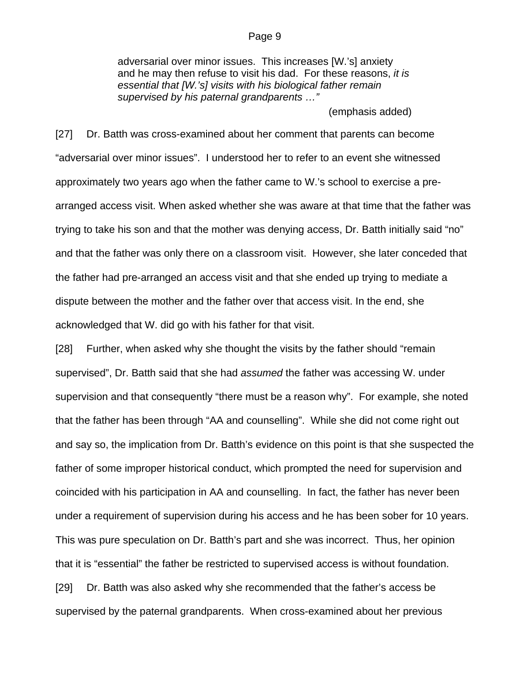adversarial over minor issues. This increases [W.'s] anxiety and he may then refuse to visit his dad. For these reasons, *it is essential that [W.'s] visits with his biological father remain supervised by his paternal grandparents …"* 

(emphasis added)

[27] Dr. Batth was cross-examined about her comment that parents can become "adversarial over minor issues". I understood her to refer to an event she witnessed approximately two years ago when the father came to W.'s school to exercise a prearranged access visit. When asked whether she was aware at that time that the father was trying to take his son and that the mother was denying access, Dr. Batth initially said "no" and that the father was only there on a classroom visit. However, she later conceded that the father had pre-arranged an access visit and that she ended up trying to mediate a dispute between the mother and the father over that access visit. In the end, she acknowledged that W. did go with his father for that visit.

[28] Further, when asked why she thought the visits by the father should "remain supervised", Dr. Batth said that she had *assumed* the father was accessing W. under supervision and that consequently "there must be a reason why". For example, she noted that the father has been through "AA and counselling". While she did not come right out and say so, the implication from Dr. Batth's evidence on this point is that she suspected the father of some improper historical conduct, which prompted the need for supervision and coincided with his participation in AA and counselling. In fact, the father has never been under a requirement of supervision during his access and he has been sober for 10 years. This was pure speculation on Dr. Batth's part and she was incorrect. Thus, her opinion that it is "essential" the father be restricted to supervised access is without foundation. [29] Dr. Batth was also asked why she recommended that the father's access be supervised by the paternal grandparents. When cross-examined about her previous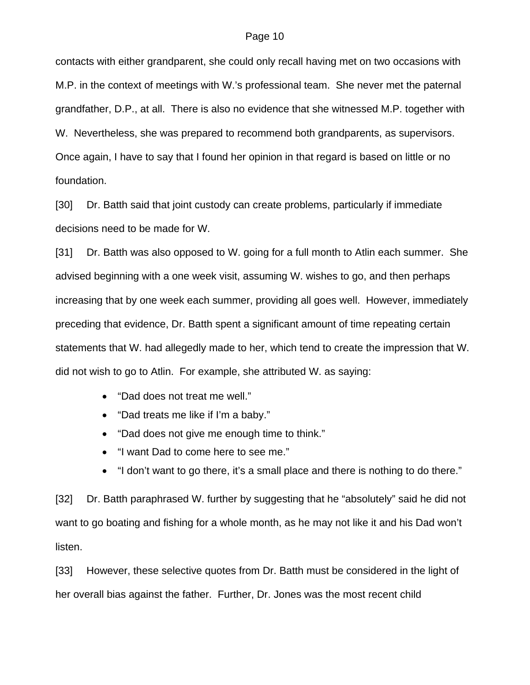contacts with either grandparent, she could only recall having met on two occasions with M.P. in the context of meetings with W.'s professional team. She never met the paternal grandfather, D.P., at all. There is also no evidence that she witnessed M.P. together with W. Nevertheless, she was prepared to recommend both grandparents, as supervisors. Once again, I have to say that I found her opinion in that regard is based on little or no foundation.

[30] Dr. Batth said that joint custody can create problems, particularly if immediate decisions need to be made for W.

[31] Dr. Batth was also opposed to W. going for a full month to Atlin each summer. She advised beginning with a one week visit, assuming W. wishes to go, and then perhaps increasing that by one week each summer, providing all goes well. However, immediately preceding that evidence, Dr. Batth spent a significant amount of time repeating certain statements that W. had allegedly made to her, which tend to create the impression that W. did not wish to go to Atlin. For example, she attributed W. as saying:

- "Dad does not treat me well."
- "Dad treats me like if I'm a baby."
- "Dad does not give me enough time to think."
- "I want Dad to come here to see me."
- "I don't want to go there, it's a small place and there is nothing to do there."

[32] Dr. Batth paraphrased W. further by suggesting that he "absolutely" said he did not want to go boating and fishing for a whole month, as he may not like it and his Dad won't listen.

[33] However, these selective quotes from Dr. Batth must be considered in the light of her overall bias against the father. Further, Dr. Jones was the most recent child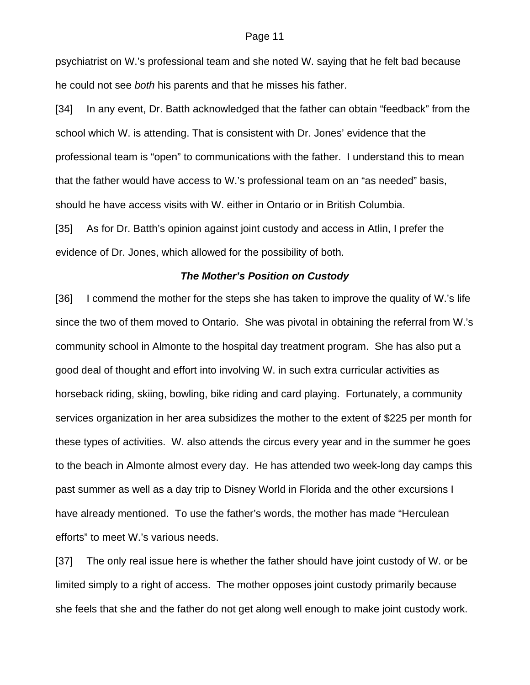psychiatrist on W.'s professional team and she noted W. saying that he felt bad because he could not see *both* his parents and that he misses his father.

[34] In any event, Dr. Batth acknowledged that the father can obtain "feedback" from the school which W. is attending. That is consistent with Dr. Jones' evidence that the professional team is "open" to communications with the father. I understand this to mean that the father would have access to W.'s professional team on an "as needed" basis, should he have access visits with W. either in Ontario or in British Columbia. [35] As for Dr. Batth's opinion against joint custody and access in Atlin, I prefer the evidence of Dr. Jones, which allowed for the possibility of both.

## *The Mother's Position on Custody*

[36] I commend the mother for the steps she has taken to improve the quality of W.'s life since the two of them moved to Ontario. She was pivotal in obtaining the referral from W.'s community school in Almonte to the hospital day treatment program. She has also put a good deal of thought and effort into involving W. in such extra curricular activities as horseback riding, skiing, bowling, bike riding and card playing. Fortunately, a community services organization in her area subsidizes the mother to the extent of \$225 per month for these types of activities. W. also attends the circus every year and in the summer he goes to the beach in Almonte almost every day. He has attended two week-long day camps this past summer as well as a day trip to Disney World in Florida and the other excursions I have already mentioned. To use the father's words, the mother has made "Herculean efforts" to meet W.'s various needs.

[37] The only real issue here is whether the father should have joint custody of W. or be limited simply to a right of access. The mother opposes joint custody primarily because she feels that she and the father do not get along well enough to make joint custody work.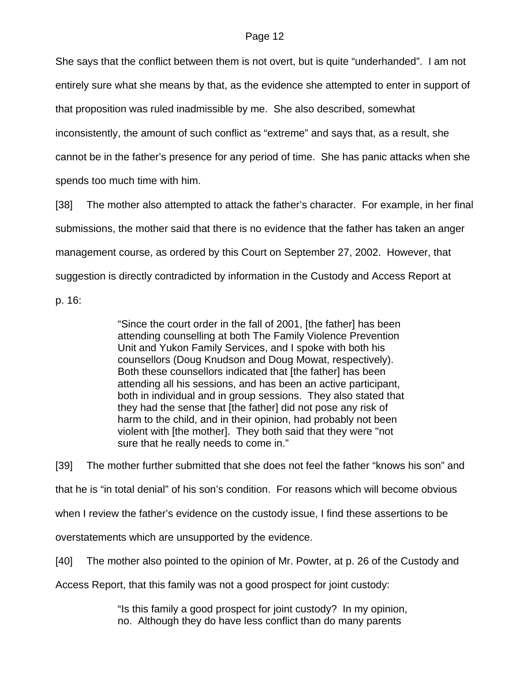She says that the conflict between them is not overt, but is quite "underhanded". I am not entirely sure what she means by that, as the evidence she attempted to enter in support of that proposition was ruled inadmissible by me. She also described, somewhat inconsistently, the amount of such conflict as "extreme" and says that, as a result, she cannot be in the father's presence for any period of time. She has panic attacks when she spends too much time with him.

[38] The mother also attempted to attack the father's character. For example, in her final submissions, the mother said that there is no evidence that the father has taken an anger management course, as ordered by this Court on September 27, 2002. However, that suggestion is directly contradicted by information in the Custody and Access Report at

p. 16:

"Since the court order in the fall of 2001, [the father] has been attending counselling at both The Family Violence Prevention Unit and Yukon Family Services, and I spoke with both his counsellors (Doug Knudson and Doug Mowat, respectively). Both these counsellors indicated that [the father] has been attending all his sessions, and has been an active participant, both in individual and in group sessions. They also stated that they had the sense that [the father] did not pose any risk of harm to the child, and in their opinion, had probably not been violent with [the mother]. They both said that they were "not sure that he really needs to come in."

[39] The mother further submitted that she does not feel the father "knows his son" and that he is "in total denial" of his son's condition. For reasons which will become obvious when I review the father's evidence on the custody issue, I find these assertions to be overstatements which are unsupported by the evidence.

[40] The mother also pointed to the opinion of Mr. Powter, at p. 26 of the Custody and

Access Report, that this family was not a good prospect for joint custody:

"Is this family a good prospect for joint custody? In my opinion, no. Although they do have less conflict than do many parents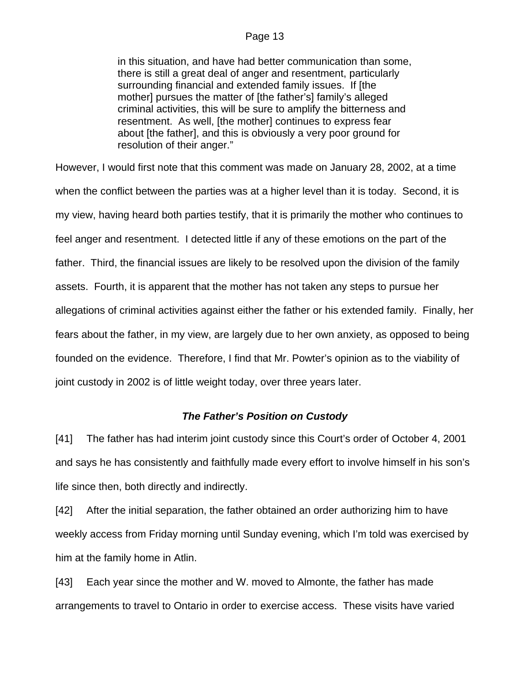in this situation, and have had better communication than some, there is still a great deal of anger and resentment, particularly surrounding financial and extended family issues. If [the mother] pursues the matter of [the father's] family's alleged criminal activities, this will be sure to amplify the bitterness and resentment. As well, [the mother] continues to express fear about [the father], and this is obviously a very poor ground for resolution of their anger."

However, I would first note that this comment was made on January 28, 2002, at a time when the conflict between the parties was at a higher level than it is today. Second, it is my view, having heard both parties testify, that it is primarily the mother who continues to feel anger and resentment. I detected little if any of these emotions on the part of the father. Third, the financial issues are likely to be resolved upon the division of the family assets. Fourth, it is apparent that the mother has not taken any steps to pursue her allegations of criminal activities against either the father or his extended family. Finally, her fears about the father, in my view, are largely due to her own anxiety, as opposed to being founded on the evidence. Therefore, I find that Mr. Powter's opinion as to the viability of joint custody in 2002 is of little weight today, over three years later.

## *The Father's Position on Custody*

[41] The father has had interim joint custody since this Court's order of October 4, 2001 and says he has consistently and faithfully made every effort to involve himself in his son's life since then, both directly and indirectly.

[42] After the initial separation, the father obtained an order authorizing him to have weekly access from Friday morning until Sunday evening, which I'm told was exercised by him at the family home in Atlin.

[43] Each year since the mother and W. moved to Almonte, the father has made arrangements to travel to Ontario in order to exercise access. These visits have varied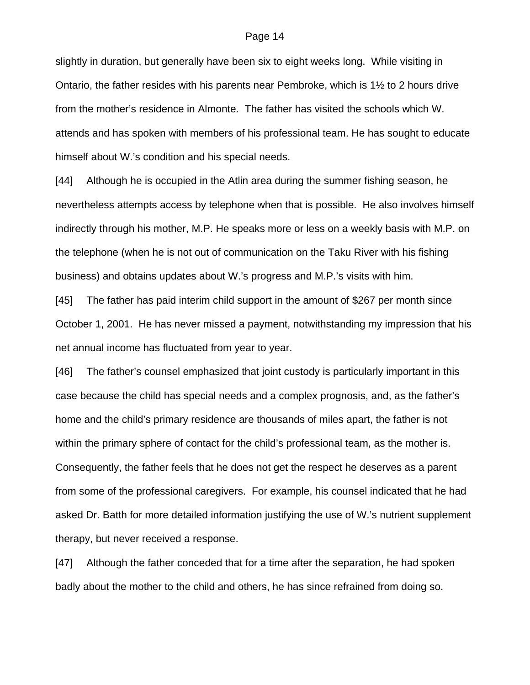slightly in duration, but generally have been six to eight weeks long. While visiting in Ontario, the father resides with his parents near Pembroke, which is 1½ to 2 hours drive from the mother's residence in Almonte. The father has visited the schools which W. attends and has spoken with members of his professional team. He has sought to educate himself about W.'s condition and his special needs.

[44] Although he is occupied in the Atlin area during the summer fishing season, he nevertheless attempts access by telephone when that is possible. He also involves himself indirectly through his mother, M.P. He speaks more or less on a weekly basis with M.P. on the telephone (when he is not out of communication on the Taku River with his fishing business) and obtains updates about W.'s progress and M.P.'s visits with him.

[45] The father has paid interim child support in the amount of \$267 per month since October 1, 2001. He has never missed a payment, notwithstanding my impression that his net annual income has fluctuated from year to year.

[46] The father's counsel emphasized that joint custody is particularly important in this case because the child has special needs and a complex prognosis, and, as the father's home and the child's primary residence are thousands of miles apart, the father is not within the primary sphere of contact for the child's professional team, as the mother is. Consequently, the father feels that he does not get the respect he deserves as a parent from some of the professional caregivers. For example, his counsel indicated that he had asked Dr. Batth for more detailed information justifying the use of W.'s nutrient supplement therapy, but never received a response.

[47] Although the father conceded that for a time after the separation, he had spoken badly about the mother to the child and others, he has since refrained from doing so.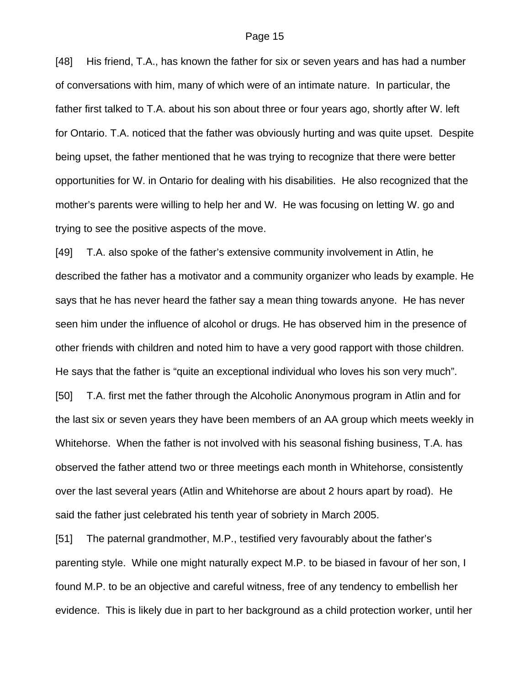[48] His friend, T.A., has known the father for six or seven years and has had a number of conversations with him, many of which were of an intimate nature. In particular, the father first talked to T.A. about his son about three or four years ago, shortly after W. left for Ontario. T.A. noticed that the father was obviously hurting and was quite upset. Despite being upset, the father mentioned that he was trying to recognize that there were better opportunities for W. in Ontario for dealing with his disabilities. He also recognized that the mother's parents were willing to help her and W. He was focusing on letting W. go and trying to see the positive aspects of the move.

[49] T.A. also spoke of the father's extensive community involvement in Atlin, he described the father has a motivator and a community organizer who leads by example. He says that he has never heard the father say a mean thing towards anyone. He has never seen him under the influence of alcohol or drugs. He has observed him in the presence of other friends with children and noted him to have a very good rapport with those children. He says that the father is "quite an exceptional individual who loves his son very much". [50] T.A. first met the father through the Alcoholic Anonymous program in Atlin and for the last six or seven years they have been members of an AA group which meets weekly in Whitehorse. When the father is not involved with his seasonal fishing business, T.A. has observed the father attend two or three meetings each month in Whitehorse, consistently over the last several years (Atlin and Whitehorse are about 2 hours apart by road). He said the father just celebrated his tenth year of sobriety in March 2005.

[51] The paternal grandmother, M.P., testified very favourably about the father's parenting style. While one might naturally expect M.P. to be biased in favour of her son, I found M.P. to be an objective and careful witness, free of any tendency to embellish her evidence. This is likely due in part to her background as a child protection worker, until her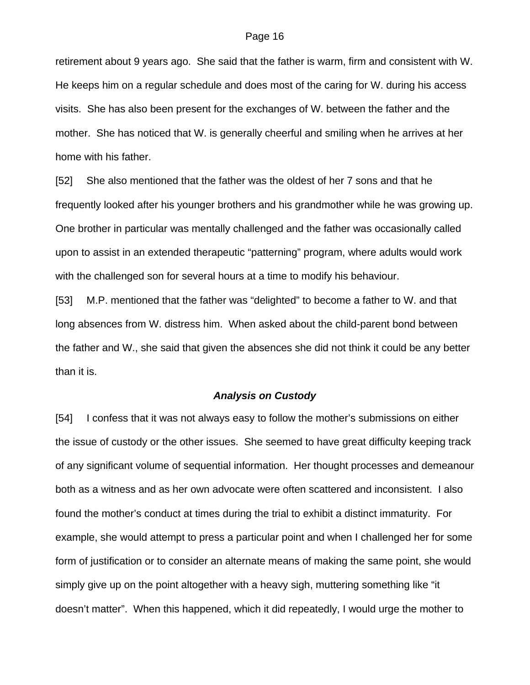retirement about 9 years ago. She said that the father is warm, firm and consistent with W. He keeps him on a regular schedule and does most of the caring for W. during his access visits. She has also been present for the exchanges of W. between the father and the mother. She has noticed that W. is generally cheerful and smiling when he arrives at her home with his father.

[52] She also mentioned that the father was the oldest of her 7 sons and that he frequently looked after his younger brothers and his grandmother while he was growing up. One brother in particular was mentally challenged and the father was occasionally called upon to assist in an extended therapeutic "patterning" program, where adults would work with the challenged son for several hours at a time to modify his behaviour.

[53] M.P. mentioned that the father was "delighted" to become a father to W. and that long absences from W. distress him. When asked about the child-parent bond between the father and W., she said that given the absences she did not think it could be any better than it is.

## *Analysis on Custody*

[54] I confess that it was not always easy to follow the mother's submissions on either the issue of custody or the other issues. She seemed to have great difficulty keeping track of any significant volume of sequential information. Her thought processes and demeanour both as a witness and as her own advocate were often scattered and inconsistent. I also found the mother's conduct at times during the trial to exhibit a distinct immaturity. For example, she would attempt to press a particular point and when I challenged her for some form of justification or to consider an alternate means of making the same point, she would simply give up on the point altogether with a heavy sigh, muttering something like "it doesn't matter". When this happened, which it did repeatedly, I would urge the mother to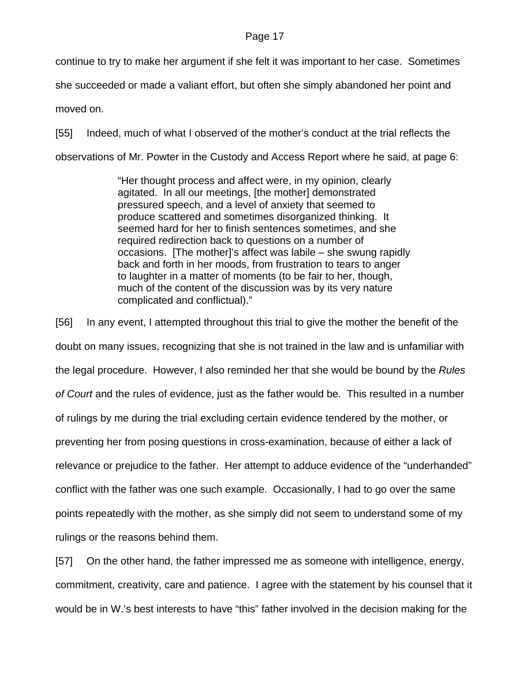continue to try to make her argument if she felt it was important to her case. Sometimes

she succeeded or made a valiant effort, but often she simply abandoned her point and

moved on.

[55] Indeed, much of what I observed of the mother's conduct at the trial reflects the observations of Mr. Powter in the Custody and Access Report where he said, at page 6:

> "Her thought process and affect were, in my opinion, clearly agitated. In all our meetings, [the mother] demonstrated pressured speech, and a level of anxiety that seemed to produce scattered and sometimes disorganized thinking. It seemed hard for her to finish sentences sometimes, and she required redirection back to questions on a number of occasions. [The mother]'s affect was labile – she swung rapidly back and forth in her moods, from frustration to tears to anger to laughter in a matter of moments (to be fair to her, though, much of the content of the discussion was by its very nature complicated and conflictual)."

[56] In any event, I attempted throughout this trial to give the mother the benefit of the doubt on many issues, recognizing that she is not trained in the law and is unfamiliar with the legal procedure. However, I also reminded her that she would be bound by the *Rules of Court* and the rules of evidence, just as the father would be. This resulted in a number of rulings by me during the trial excluding certain evidence tendered by the mother, or preventing her from posing questions in cross-examination, because of either a lack of relevance or prejudice to the father. Her attempt to adduce evidence of the "underhanded" conflict with the father was one such example. Occasionally, I had to go over the same points repeatedly with the mother, as she simply did not seem to understand some of my rulings or the reasons behind them.

[57] On the other hand, the father impressed me as someone with intelligence, energy, commitment, creativity, care and patience. I agree with the statement by his counsel that it would be in W.'s best interests to have "this" father involved in the decision making for the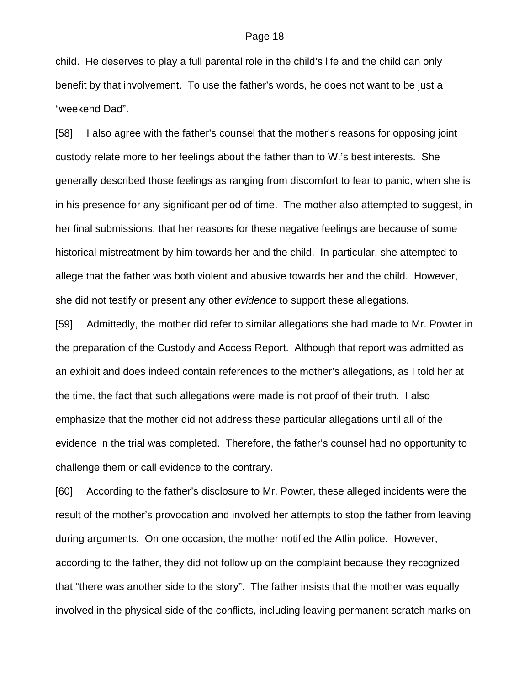child. He deserves to play a full parental role in the child's life and the child can only benefit by that involvement. To use the father's words, he does not want to be just a "weekend Dad".

[58] I also agree with the father's counsel that the mother's reasons for opposing joint custody relate more to her feelings about the father than to W.'s best interests. She generally described those feelings as ranging from discomfort to fear to panic, when she is in his presence for any significant period of time. The mother also attempted to suggest, in her final submissions, that her reasons for these negative feelings are because of some historical mistreatment by him towards her and the child. In particular, she attempted to allege that the father was both violent and abusive towards her and the child. However, she did not testify or present any other *evidence* to support these allegations.

[59] Admittedly, the mother did refer to similar allegations she had made to Mr. Powter in the preparation of the Custody and Access Report. Although that report was admitted as an exhibit and does indeed contain references to the mother's allegations, as I told her at the time, the fact that such allegations were made is not proof of their truth. I also emphasize that the mother did not address these particular allegations until all of the evidence in the trial was completed. Therefore, the father's counsel had no opportunity to challenge them or call evidence to the contrary.

[60] According to the father's disclosure to Mr. Powter, these alleged incidents were the result of the mother's provocation and involved her attempts to stop the father from leaving during arguments. On one occasion, the mother notified the Atlin police. However, according to the father, they did not follow up on the complaint because they recognized that "there was another side to the story". The father insists that the mother was equally involved in the physical side of the conflicts, including leaving permanent scratch marks on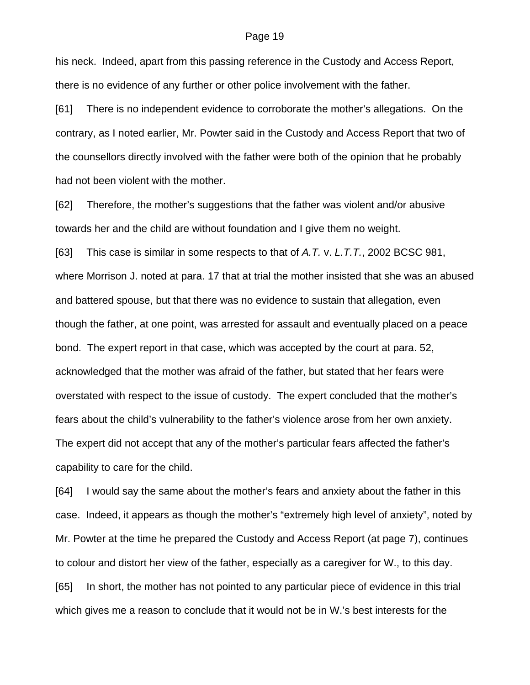his neck. Indeed, apart from this passing reference in the Custody and Access Report, there is no evidence of any further or other police involvement with the father.

[61] There is no independent evidence to corroborate the mother's allegations. On the contrary, as I noted earlier, Mr. Powter said in the Custody and Access Report that two of the counsellors directly involved with the father were both of the opinion that he probably had not been violent with the mother.

[62] Therefore, the mother's suggestions that the father was violent and/or abusive towards her and the child are without foundation and I give them no weight.

[63] This case is similar in some respects to that of *A.T.* v. *L.T.T.*, 2002 BCSC 981, where Morrison J. noted at para. 17 that at trial the mother insisted that she was an abused and battered spouse, but that there was no evidence to sustain that allegation, even though the father, at one point, was arrested for assault and eventually placed on a peace bond. The expert report in that case, which was accepted by the court at para. 52, acknowledged that the mother was afraid of the father, but stated that her fears were overstated with respect to the issue of custody. The expert concluded that the mother's fears about the child's vulnerability to the father's violence arose from her own anxiety. The expert did not accept that any of the mother's particular fears affected the father's capability to care for the child.

[64] I would say the same about the mother's fears and anxiety about the father in this case. Indeed, it appears as though the mother's "extremely high level of anxiety", noted by Mr. Powter at the time he prepared the Custody and Access Report (at page 7), continues to colour and distort her view of the father, especially as a caregiver for W., to this day. [65] In short, the mother has not pointed to any particular piece of evidence in this trial which gives me a reason to conclude that it would not be in W.'s best interests for the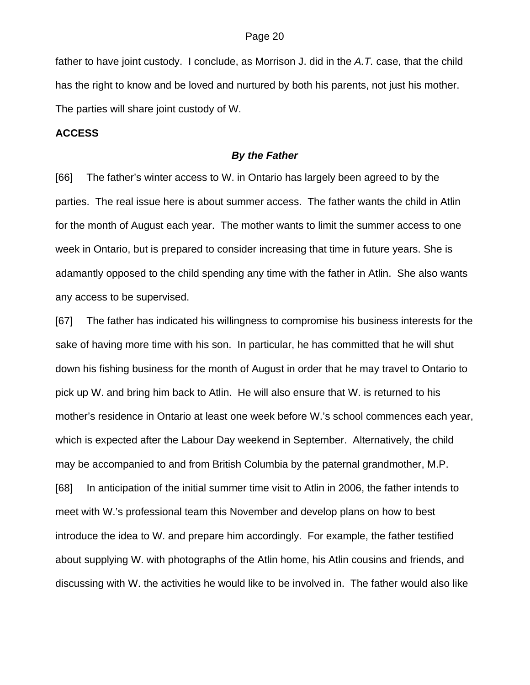father to have joint custody. I conclude, as Morrison J. did in the *A.T.* case, that the child has the right to know and be loved and nurtured by both his parents, not just his mother. The parties will share joint custody of W.

## **ACCESS**

### *By the Father*

[66] The father's winter access to W. in Ontario has largely been agreed to by the parties. The real issue here is about summer access. The father wants the child in Atlin for the month of August each year. The mother wants to limit the summer access to one week in Ontario, but is prepared to consider increasing that time in future years. She is adamantly opposed to the child spending any time with the father in Atlin. She also wants any access to be supervised.

[67] The father has indicated his willingness to compromise his business interests for the sake of having more time with his son. In particular, he has committed that he will shut down his fishing business for the month of August in order that he may travel to Ontario to pick up W. and bring him back to Atlin. He will also ensure that W. is returned to his mother's residence in Ontario at least one week before W.'s school commences each year, which is expected after the Labour Day weekend in September. Alternatively, the child may be accompanied to and from British Columbia by the paternal grandmother, M.P. [68] In anticipation of the initial summer time visit to Atlin in 2006, the father intends to meet with W.'s professional team this November and develop plans on how to best introduce the idea to W. and prepare him accordingly. For example, the father testified about supplying W. with photographs of the Atlin home, his Atlin cousins and friends, and discussing with W. the activities he would like to be involved in. The father would also like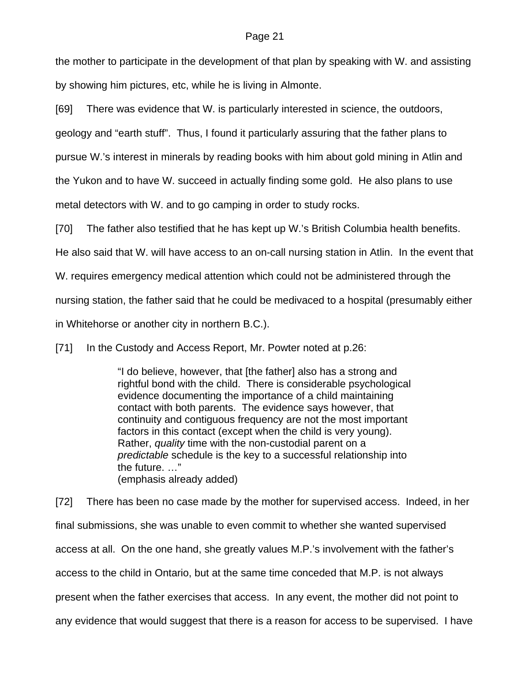the mother to participate in the development of that plan by speaking with W. and assisting by showing him pictures, etc, while he is living in Almonte.

[69] There was evidence that W. is particularly interested in science, the outdoors,

geology and "earth stuff". Thus, I found it particularly assuring that the father plans to

pursue W.'s interest in minerals by reading books with him about gold mining in Atlin and

the Yukon and to have W. succeed in actually finding some gold. He also plans to use

metal detectors with W. and to go camping in order to study rocks.

[70] The father also testified that he has kept up W.'s British Columbia health benefits.

He also said that W. will have access to an on-call nursing station in Atlin. In the event that

W. requires emergency medical attention which could not be administered through the

nursing station, the father said that he could be medivaced to a hospital (presumably either

in Whitehorse or another city in northern B.C.).

[71] In the Custody and Access Report, Mr. Powter noted at p.26:

"I do believe, however, that [the father] also has a strong and rightful bond with the child. There is considerable psychological evidence documenting the importance of a child maintaining contact with both parents. The evidence says however, that continuity and contiguous frequency are not the most important factors in this contact (except when the child is very young). Rather, *quality* time with the non-custodial parent on a *predictable* schedule is the key to a successful relationship into the future. …" (emphasis already added)

[72] There has been no case made by the mother for supervised access. Indeed, in her final submissions, she was unable to even commit to whether she wanted supervised access at all. On the one hand, she greatly values M.P.'s involvement with the father's access to the child in Ontario, but at the same time conceded that M.P. is not always present when the father exercises that access. In any event, the mother did not point to any evidence that would suggest that there is a reason for access to be supervised. I have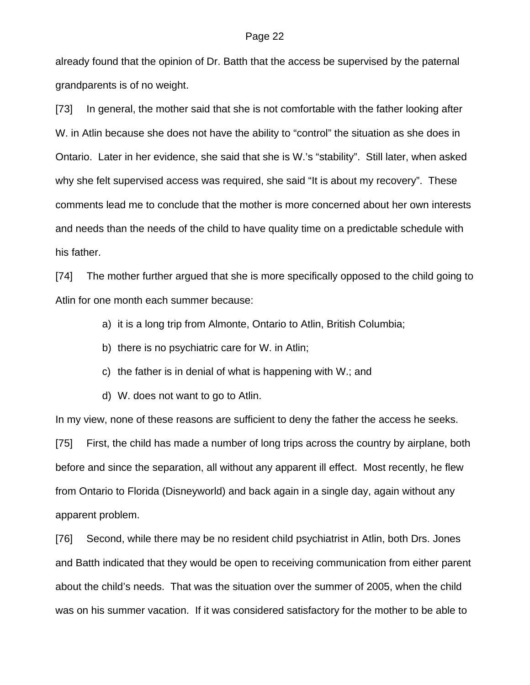already found that the opinion of Dr. Batth that the access be supervised by the paternal grandparents is of no weight.

[73] In general, the mother said that she is not comfortable with the father looking after W. in Atlin because she does not have the ability to "control" the situation as she does in Ontario. Later in her evidence, she said that she is W.'s "stability". Still later, when asked why she felt supervised access was required, she said "It is about my recovery". These comments lead me to conclude that the mother is more concerned about her own interests and needs than the needs of the child to have quality time on a predictable schedule with his father.

[74] The mother further argued that she is more specifically opposed to the child going to Atlin for one month each summer because:

- a) it is a long trip from Almonte, Ontario to Atlin, British Columbia;
- b) there is no psychiatric care for W. in Atlin;
- c) the father is in denial of what is happening with W.; and
- d) W. does not want to go to Atlin.

In my view, none of these reasons are sufficient to deny the father the access he seeks. [75] First, the child has made a number of long trips across the country by airplane, both before and since the separation, all without any apparent ill effect. Most recently, he flew from Ontario to Florida (Disneyworld) and back again in a single day, again without any apparent problem.

[76] Second, while there may be no resident child psychiatrist in Atlin, both Drs. Jones and Batth indicated that they would be open to receiving communication from either parent about the child's needs. That was the situation over the summer of 2005, when the child was on his summer vacation. If it was considered satisfactory for the mother to be able to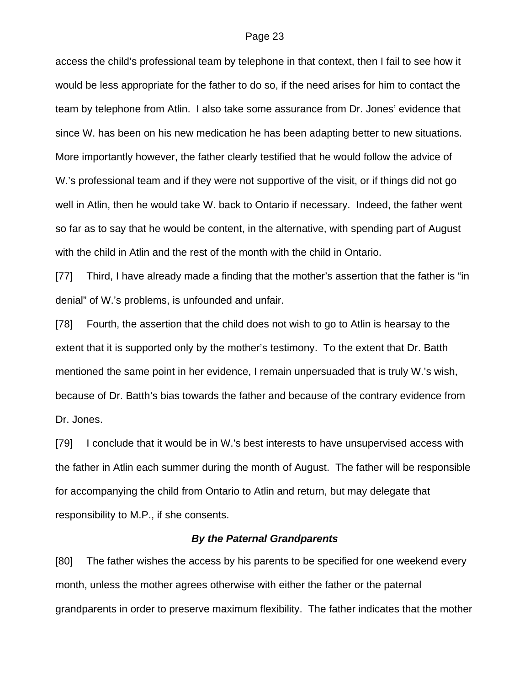access the child's professional team by telephone in that context, then I fail to see how it would be less appropriate for the father to do so, if the need arises for him to contact the team by telephone from Atlin. I also take some assurance from Dr. Jones' evidence that since W. has been on his new medication he has been adapting better to new situations. More importantly however, the father clearly testified that he would follow the advice of W.'s professional team and if they were not supportive of the visit, or if things did not go well in Atlin, then he would take W. back to Ontario if necessary. Indeed, the father went so far as to say that he would be content, in the alternative, with spending part of August with the child in Atlin and the rest of the month with the child in Ontario.

[77] Third, I have already made a finding that the mother's assertion that the father is "in denial" of W.'s problems, is unfounded and unfair.

[78] Fourth, the assertion that the child does not wish to go to Atlin is hearsay to the extent that it is supported only by the mother's testimony. To the extent that Dr. Batth mentioned the same point in her evidence, I remain unpersuaded that is truly W.'s wish, because of Dr. Batth's bias towards the father and because of the contrary evidence from Dr. Jones.

[79] I conclude that it would be in W.'s best interests to have unsupervised access with the father in Atlin each summer during the month of August. The father will be responsible for accompanying the child from Ontario to Atlin and return, but may delegate that responsibility to M.P., if she consents.

## *By the Paternal Grandparents*

[80] The father wishes the access by his parents to be specified for one weekend every month, unless the mother agrees otherwise with either the father or the paternal grandparents in order to preserve maximum flexibility. The father indicates that the mother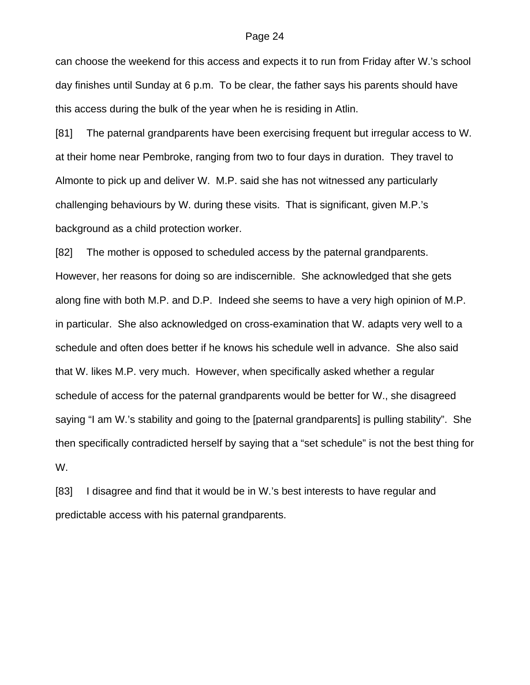can choose the weekend for this access and expects it to run from Friday after W.'s school day finishes until Sunday at 6 p.m. To be clear, the father says his parents should have this access during the bulk of the year when he is residing in Atlin.

[81] The paternal grandparents have been exercising frequent but irregular access to W. at their home near Pembroke, ranging from two to four days in duration. They travel to Almonte to pick up and deliver W. M.P. said she has not witnessed any particularly challenging behaviours by W. during these visits. That is significant, given M.P.'s background as a child protection worker.

[82] The mother is opposed to scheduled access by the paternal grandparents. However, her reasons for doing so are indiscernible. She acknowledged that she gets along fine with both M.P. and D.P. Indeed she seems to have a very high opinion of M.P. in particular. She also acknowledged on cross-examination that W. adapts very well to a schedule and often does better if he knows his schedule well in advance. She also said that W. likes M.P. very much. However, when specifically asked whether a regular schedule of access for the paternal grandparents would be better for W., she disagreed saying "I am W.'s stability and going to the [paternal grandparents] is pulling stability". She then specifically contradicted herself by saying that a "set schedule" is not the best thing for W.

[83] I disagree and find that it would be in W.'s best interests to have regular and predictable access with his paternal grandparents.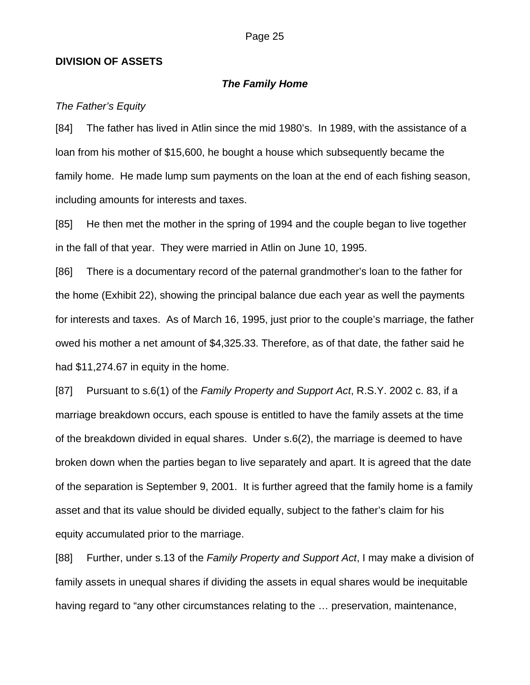## **DIVISION OF ASSETS**

### *The Family Home*

## *The Father's Equity*

[84] The father has lived in Atlin since the mid 1980's. In 1989, with the assistance of a loan from his mother of \$15,600, he bought a house which subsequently became the family home. He made lump sum payments on the loan at the end of each fishing season, including amounts for interests and taxes.

[85] He then met the mother in the spring of 1994 and the couple began to live together in the fall of that year. They were married in Atlin on June 10, 1995.

[86] There is a documentary record of the paternal grandmother's loan to the father for the home (Exhibit 22), showing the principal balance due each year as well the payments for interests and taxes. As of March 16, 1995, just prior to the couple's marriage, the father owed his mother a net amount of \$4,325.33. Therefore, as of that date, the father said he had \$11,274.67 in equity in the home.

[87] Pursuant to s.6(1) of the *Family Property and Support Act*, R.S.Y. 2002 c. 83, if a marriage breakdown occurs, each spouse is entitled to have the family assets at the time of the breakdown divided in equal shares. Under s.6(2), the marriage is deemed to have broken down when the parties began to live separately and apart. It is agreed that the date of the separation is September 9, 2001. It is further agreed that the family home is a family asset and that its value should be divided equally, subject to the father's claim for his equity accumulated prior to the marriage.

[88] Further, under s.13 of the *Family Property and Support Act*, I may make a division of family assets in unequal shares if dividing the assets in equal shares would be inequitable having regard to "any other circumstances relating to the ... preservation, maintenance,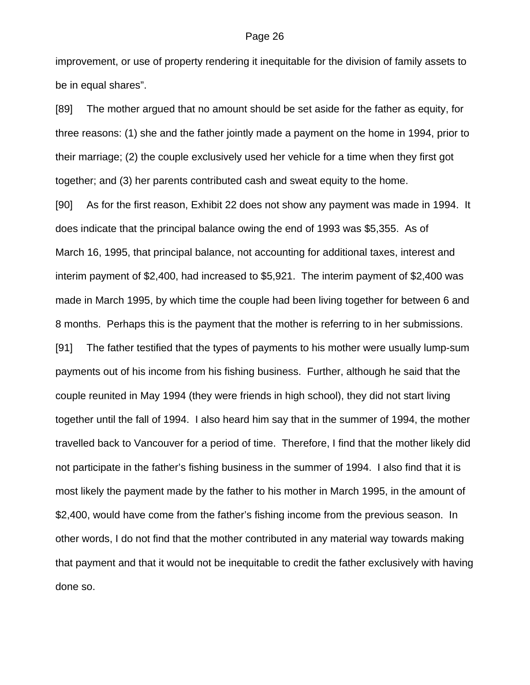improvement, or use of property rendering it inequitable for the division of family assets to be in equal shares".

[89] The mother argued that no amount should be set aside for the father as equity, for three reasons: (1) she and the father jointly made a payment on the home in 1994, prior to their marriage; (2) the couple exclusively used her vehicle for a time when they first got together; and (3) her parents contributed cash and sweat equity to the home.

[90] As for the first reason, Exhibit 22 does not show any payment was made in 1994. It does indicate that the principal balance owing the end of 1993 was \$5,355. As of March 16, 1995, that principal balance, not accounting for additional taxes, interest and interim payment of \$2,400, had increased to \$5,921. The interim payment of \$2,400 was made in March 1995, by which time the couple had been living together for between 6 and 8 months. Perhaps this is the payment that the mother is referring to in her submissions. [91] The father testified that the types of payments to his mother were usually lump-sum payments out of his income from his fishing business. Further, although he said that the couple reunited in May 1994 (they were friends in high school), they did not start living together until the fall of 1994. I also heard him say that in the summer of 1994, the mother travelled back to Vancouver for a period of time. Therefore, I find that the mother likely did not participate in the father's fishing business in the summer of 1994. I also find that it is most likely the payment made by the father to his mother in March 1995, in the amount of \$2,400, would have come from the father's fishing income from the previous season. In other words, I do not find that the mother contributed in any material way towards making that payment and that it would not be inequitable to credit the father exclusively with having done so.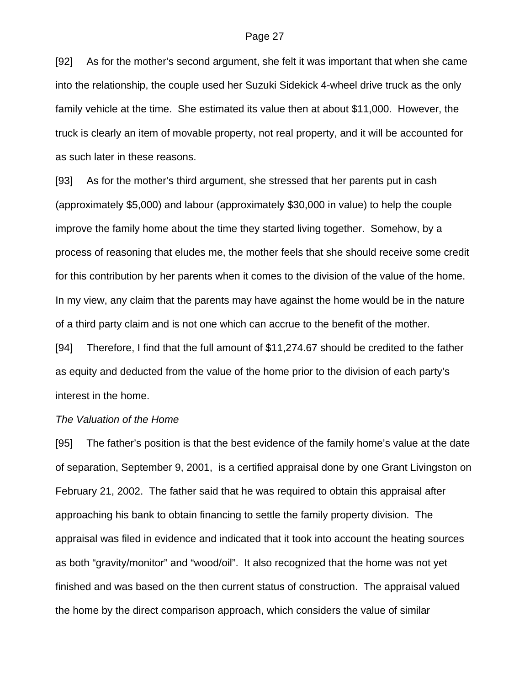[92] As for the mother's second argument, she felt it was important that when she came into the relationship, the couple used her Suzuki Sidekick 4-wheel drive truck as the only family vehicle at the time. She estimated its value then at about \$11,000. However, the truck is clearly an item of movable property, not real property, and it will be accounted for as such later in these reasons.

[93] As for the mother's third argument, she stressed that her parents put in cash (approximately \$5,000) and labour (approximately \$30,000 in value) to help the couple improve the family home about the time they started living together. Somehow, by a process of reasoning that eludes me, the mother feels that she should receive some credit for this contribution by her parents when it comes to the division of the value of the home. In my view, any claim that the parents may have against the home would be in the nature of a third party claim and is not one which can accrue to the benefit of the mother.

[94] Therefore, I find that the full amount of \$11,274.67 should be credited to the father as equity and deducted from the value of the home prior to the division of each party's interest in the home.

### *The Valuation of the Home*

[95] The father's position is that the best evidence of the family home's value at the date of separation, September 9, 2001, is a certified appraisal done by one Grant Livingston on February 21, 2002. The father said that he was required to obtain this appraisal after approaching his bank to obtain financing to settle the family property division. The appraisal was filed in evidence and indicated that it took into account the heating sources as both "gravity/monitor" and "wood/oil". It also recognized that the home was not yet finished and was based on the then current status of construction. The appraisal valued the home by the direct comparison approach, which considers the value of similar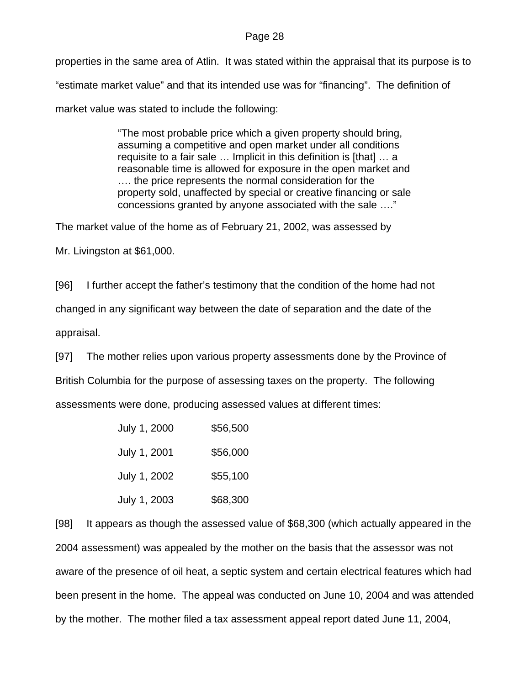properties in the same area of Atlin. It was stated within the appraisal that its purpose is to "estimate market value" and that its intended use was for "financing". The definition of market value was stated to include the following:

> "The most probable price which a given property should bring, assuming a competitive and open market under all conditions requisite to a fair sale … Implicit in this definition is [that] … a reasonable time is allowed for exposure in the open market and …. the price represents the normal consideration for the property sold, unaffected by special or creative financing or sale concessions granted by anyone associated with the sale …."

The market value of the home as of February 21, 2002, was assessed by

Mr. Livingston at \$61,000.

[96] I further accept the father's testimony that the condition of the home had not

changed in any significant way between the date of separation and the date of the

appraisal.

[97] The mother relies upon various property assessments done by the Province of

British Columbia for the purpose of assessing taxes on the property. The following

assessments were done, producing assessed values at different times:

| July 1, 2000 | \$56,500 |
|--------------|----------|
| July 1, 2001 | \$56,000 |
| July 1, 2002 | \$55,100 |
| July 1, 2003 | \$68,300 |

[98] It appears as though the assessed value of \$68,300 (which actually appeared in the 2004 assessment) was appealed by the mother on the basis that the assessor was not aware of the presence of oil heat, a septic system and certain electrical features which had been present in the home. The appeal was conducted on June 10, 2004 and was attended by the mother. The mother filed a tax assessment appeal report dated June 11, 2004,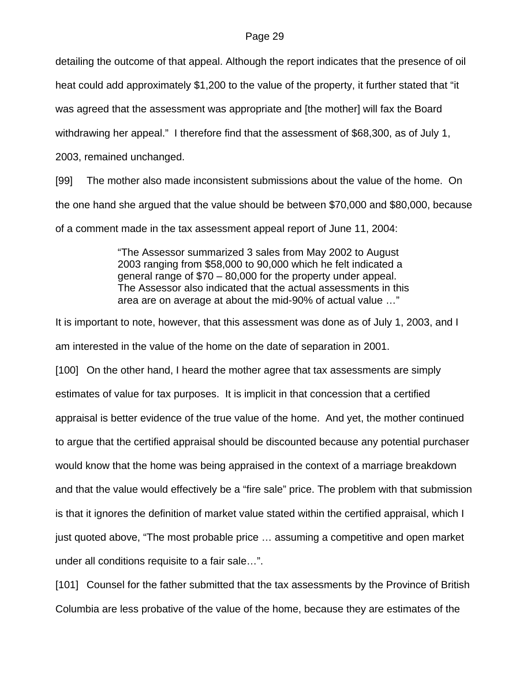detailing the outcome of that appeal. Although the report indicates that the presence of oil heat could add approximately \$1,200 to the value of the property, it further stated that "it was agreed that the assessment was appropriate and [the mother] will fax the Board withdrawing her appeal." I therefore find that the assessment of \$68,300, as of July 1, 2003, remained unchanged.

[99] The mother also made inconsistent submissions about the value of the home. On the one hand she argued that the value should be between \$70,000 and \$80,000, because of a comment made in the tax assessment appeal report of June 11, 2004:

> "The Assessor summarized 3 sales from May 2002 to August 2003 ranging from \$58,000 to 90,000 which he felt indicated a general range of \$70 – 80,000 for the property under appeal. The Assessor also indicated that the actual assessments in this area are on average at about the mid-90% of actual value …"

It is important to note, however, that this assessment was done as of July 1, 2003, and I am interested in the value of the home on the date of separation in 2001.

[100] On the other hand, I heard the mother agree that tax assessments are simply estimates of value for tax purposes. It is implicit in that concession that a certified appraisal is better evidence of the true value of the home. And yet, the mother continued to argue that the certified appraisal should be discounted because any potential purchaser would know that the home was being appraised in the context of a marriage breakdown and that the value would effectively be a "fire sale" price. The problem with that submission is that it ignores the definition of market value stated within the certified appraisal, which I just quoted above, "The most probable price … assuming a competitive and open market under all conditions requisite to a fair sale…".

[101] Counsel for the father submitted that the tax assessments by the Province of British Columbia are less probative of the value of the home, because they are estimates of the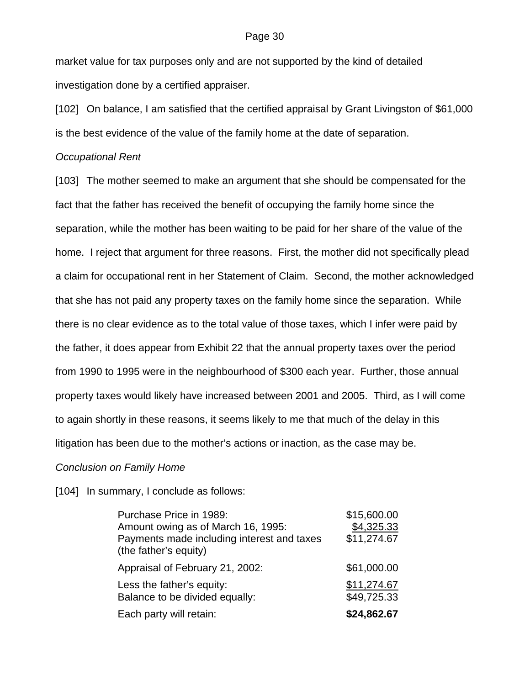market value for tax purposes only and are not supported by the kind of detailed investigation done by a certified appraiser.

[102] On balance, I am satisfied that the certified appraisal by Grant Livingston of \$61,000 is the best evidence of the value of the family home at the date of separation.

### *Occupational Rent*

[103] The mother seemed to make an argument that she should be compensated for the fact that the father has received the benefit of occupying the family home since the separation, while the mother has been waiting to be paid for her share of the value of the home. I reject that argument for three reasons. First, the mother did not specifically plead a claim for occupational rent in her Statement of Claim. Second, the mother acknowledged that she has not paid any property taxes on the family home since the separation. While there is no clear evidence as to the total value of those taxes, which I infer were paid by the father, it does appear from Exhibit 22 that the annual property taxes over the period from 1990 to 1995 were in the neighbourhood of \$300 each year. Further, those annual property taxes would likely have increased between 2001 and 2005. Third, as I will come to again shortly in these reasons, it seems likely to me that much of the delay in this litigation has been due to the mother's actions or inaction, as the case may be.

### *Conclusion on Family Home*

### [104] In summary, I conclude as follows:

| Purchase Price in 1989:<br>Amount owing as of March 16, 1995:<br>Payments made including interest and taxes<br>(the father's equity) | \$15,600.00<br>\$4,325.33<br>\$11,274.67 |
|--------------------------------------------------------------------------------------------------------------------------------------|------------------------------------------|
| Appraisal of February 21, 2002:                                                                                                      | \$61,000.00                              |
| Less the father's equity:<br>Balance to be divided equally:                                                                          | \$11,274.67<br>\$49,725.33               |
| Each party will retain:                                                                                                              | \$24,862.67                              |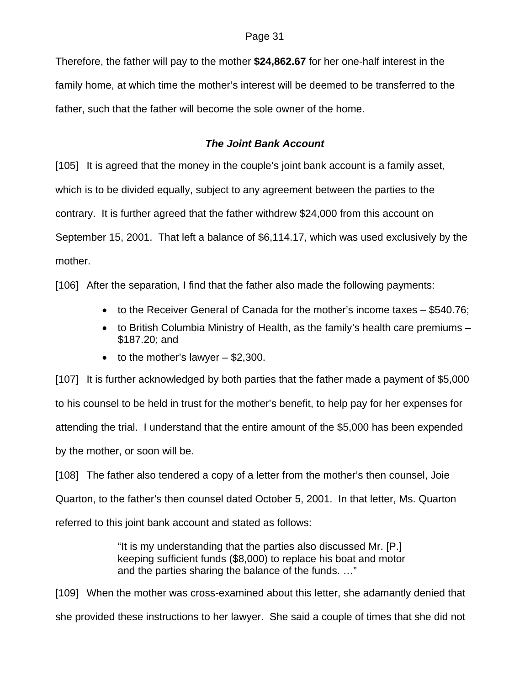Therefore, the father will pay to the mother **\$24,862.67** for her one-half interest in the family home, at which time the mother's interest will be deemed to be transferred to the father, such that the father will become the sole owner of the home.

## *The Joint Bank Account*

[105] It is agreed that the money in the couple's joint bank account is a family asset, which is to be divided equally, subject to any agreement between the parties to the contrary. It is further agreed that the father withdrew \$24,000 from this account on September 15, 2001. That left a balance of \$6,114.17, which was used exclusively by the mother.

[106] After the separation, I find that the father also made the following payments:

- to the Receiver General of Canada for the mother's income taxes \$540.76;
- to British Columbia Ministry of Health, as the family's health care premiums \$187.20; and
- $\bullet$  to the mother's lawyer  $-$  \$2,300.

[107] It is further acknowledged by both parties that the father made a payment of \$5,000 to his counsel to be held in trust for the mother's benefit, to help pay for her expenses for attending the trial. I understand that the entire amount of the \$5,000 has been expended by the mother, or soon will be.

[108] The father also tendered a copy of a letter from the mother's then counsel, Joie Quarton, to the father's then counsel dated October 5, 2001. In that letter, Ms. Quarton referred to this joint bank account and stated as follows:

> "It is my understanding that the parties also discussed Mr. [P.] keeping sufficient funds (\$8,000) to replace his boat and motor and the parties sharing the balance of the funds. …"

[109] When the mother was cross-examined about this letter, she adamantly denied that she provided these instructions to her lawyer. She said a couple of times that she did not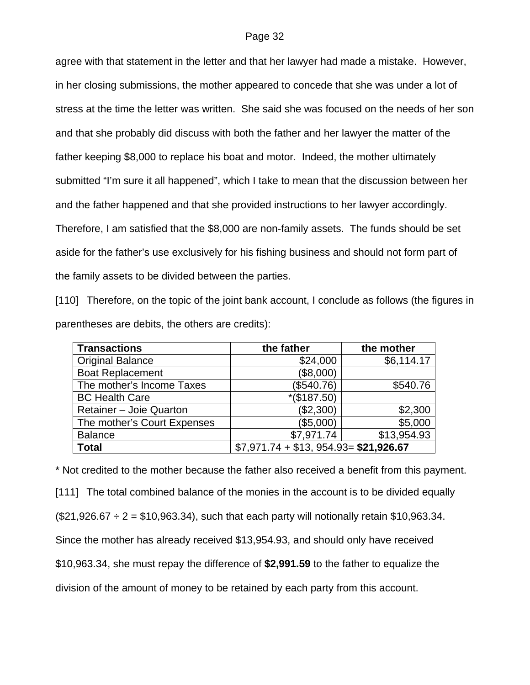agree with that statement in the letter and that her lawyer had made a mistake. However, in her closing submissions, the mother appeared to concede that she was under a lot of stress at the time the letter was written. She said she was focused on the needs of her son and that she probably did discuss with both the father and her lawyer the matter of the father keeping \$8,000 to replace his boat and motor. Indeed, the mother ultimately submitted "I'm sure it all happened", which I take to mean that the discussion between her and the father happened and that she provided instructions to her lawyer accordingly. Therefore, I am satisfied that the \$8,000 are non-family assets. The funds should be set aside for the father's use exclusively for his fishing business and should not form part of the family assets to be divided between the parties.

[110] Therefore, on the topic of the joint bank account, I conclude as follows (the figures in parentheses are debits, the others are credits):

| <b>Transactions</b>         | the father                            | the mother  |
|-----------------------------|---------------------------------------|-------------|
| <b>Original Balance</b>     | \$24,000                              | \$6,114.17  |
| <b>Boat Replacement</b>     | (\$8,000)                             |             |
| The mother's Income Taxes   | (\$540.76)                            | \$540.76    |
| <b>BC Health Care</b>       | $*(\$187.50)$                         |             |
| Retainer - Joie Quarton     | (\$2,300)                             | \$2,300     |
| The mother's Court Expenses | (\$5,000)                             | \$5,000     |
| <b>Balance</b>              | \$7,971.74                            | \$13,954.93 |
| <b>Total</b>                | $$7,971.74 + $13,954.93 = $21,926.67$ |             |

\* Not credited to the mother because the father also received a benefit from this payment. [111] The total combined balance of the monies in the account is to be divided equally  $($21,926.67 \div 2 = $10,963.34)$ , such that each party will notionally retain \$10,963.34. Since the mother has already received \$13,954.93, and should only have received \$10,963.34, she must repay the difference of **\$2,991.59** to the father to equalize the division of the amount of money to be retained by each party from this account.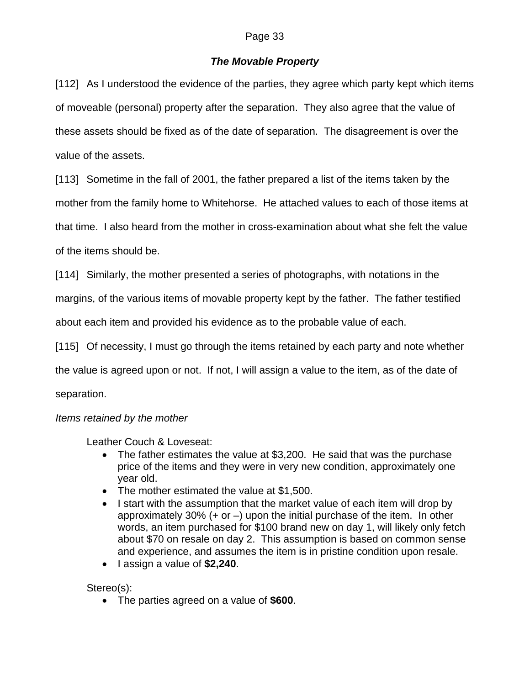## *The Movable Property*

[112] As I understood the evidence of the parties, they agree which party kept which items of moveable (personal) property after the separation. They also agree that the value of these assets should be fixed as of the date of separation. The disagreement is over the value of the assets.

[113] Sometime in the fall of 2001, the father prepared a list of the items taken by the

mother from the family home to Whitehorse. He attached values to each of those items at

that time. I also heard from the mother in cross-examination about what she felt the value

of the items should be.

[114] Similarly, the mother presented a series of photographs, with notations in the

margins, of the various items of movable property kept by the father. The father testified

about each item and provided his evidence as to the probable value of each.

[115] Of necessity, I must go through the items retained by each party and note whether

the value is agreed upon or not. If not, I will assign a value to the item, as of the date of

separation.

## *Items retained by the mother*

Leather Couch & Loveseat:

- The father estimates the value at \$3,200. He said that was the purchase price of the items and they were in very new condition, approximately one year old.
- The mother estimated the value at \$1,500.
- I start with the assumption that the market value of each item will drop by approximately 30%  $(+ or -)$  upon the initial purchase of the item. In other words, an item purchased for \$100 brand new on day 1, will likely only fetch about \$70 on resale on day 2. This assumption is based on common sense and experience, and assumes the item is in pristine condition upon resale.
- I assign a value of **\$2,240**.

Stereo(s):

• The parties agreed on a value of **\$600**.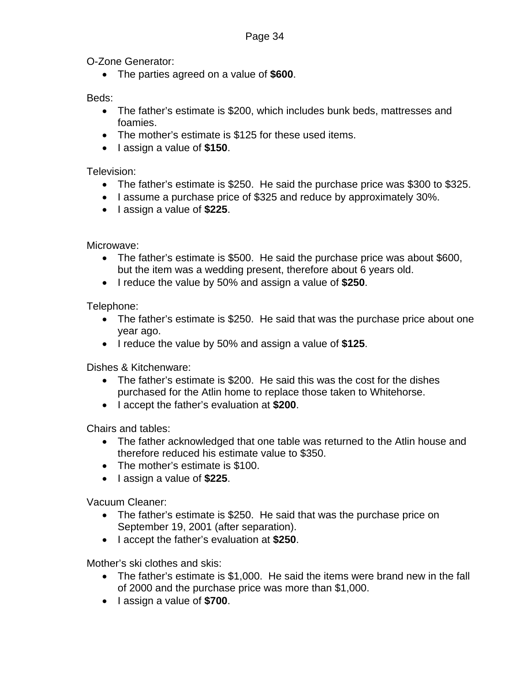O-Zone Generator:

• The parties agreed on a value of **\$600**.

Beds:

- The father's estimate is \$200, which includes bunk beds, mattresses and foamies.
- The mother's estimate is \$125 for these used items.
- I assign a value of **\$150**.

Television:

- The father's estimate is \$250. He said the purchase price was \$300 to \$325.
- I assume a purchase price of \$325 and reduce by approximately 30%.
- I assign a value of **\$225**.

Microwave:

- The father's estimate is \$500. He said the purchase price was about \$600, but the item was a wedding present, therefore about 6 years old.
- I reduce the value by 50% and assign a value of **\$250**.

Telephone:

- The father's estimate is \$250. He said that was the purchase price about one year ago.
- I reduce the value by 50% and assign a value of **\$125**.

Dishes & Kitchenware:

- The father's estimate is \$200. He said this was the cost for the dishes purchased for the Atlin home to replace those taken to Whitehorse.
- I accept the father's evaluation at **\$200**.

Chairs and tables:

- The father acknowledged that one table was returned to the Atlin house and therefore reduced his estimate value to \$350.
- The mother's estimate is \$100.
- I assign a value of **\$225**.

Vacuum Cleaner:

- The father's estimate is \$250. He said that was the purchase price on September 19, 2001 (after separation).
- I accept the father's evaluation at **\$250**.

Mother's ski clothes and skis:

- The father's estimate is \$1,000. He said the items were brand new in the fall of 2000 and the purchase price was more than \$1,000.
- I assign a value of **\$700**.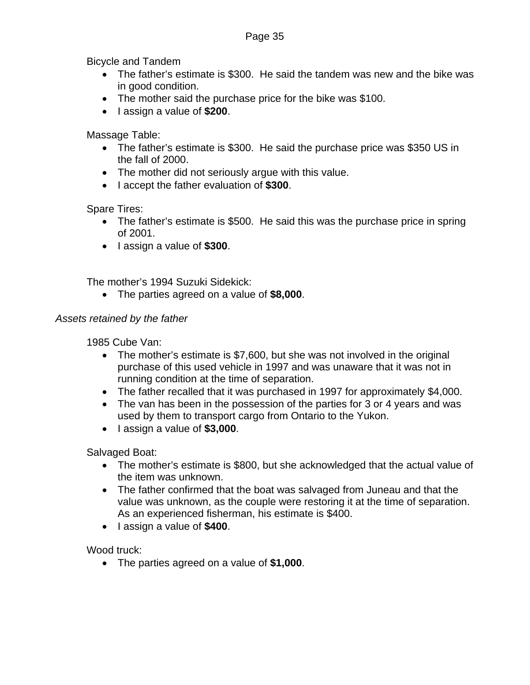Bicycle and Tandem

- The father's estimate is \$300. He said the tandem was new and the bike was in good condition.
- The mother said the purchase price for the bike was \$100.
- I assign a value of **\$200**.

Massage Table:

- The father's estimate is \$300. He said the purchase price was \$350 US in the fall of 2000.
- The mother did not seriously argue with this value.
- I accept the father evaluation of **\$300**.

Spare Tires:

- The father's estimate is \$500. He said this was the purchase price in spring of 2001.
- I assign a value of **\$300**.

The mother's 1994 Suzuki Sidekick:

• The parties agreed on a value of **\$8,000**.

## *Assets retained by the father*

1985 Cube Van:

- The mother's estimate is \$7,600, but she was not involved in the original purchase of this used vehicle in 1997 and was unaware that it was not in running condition at the time of separation.
- The father recalled that it was purchased in 1997 for approximately \$4,000.
- The van has been in the possession of the parties for 3 or 4 years and was used by them to transport cargo from Ontario to the Yukon.
- I assign a value of **\$3,000**.

Salvaged Boat:

- The mother's estimate is \$800, but she acknowledged that the actual value of the item was unknown.
- The father confirmed that the boat was salvaged from Juneau and that the value was unknown, as the couple were restoring it at the time of separation. As an experienced fisherman, his estimate is \$400.
- I assign a value of **\$400**.

Wood truck:

• The parties agreed on a value of **\$1,000**.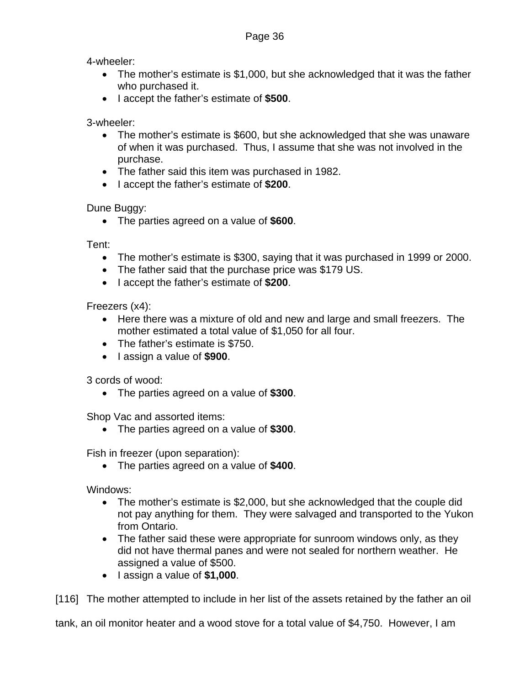4-wheeler:

- The mother's estimate is \$1,000, but she acknowledged that it was the father who purchased it.
- I accept the father's estimate of **\$500**.

3-wheeler:

- The mother's estimate is \$600, but she acknowledged that she was unaware of when it was purchased. Thus, I assume that she was not involved in the purchase.
- The father said this item was purchased in 1982.
- I accept the father's estimate of **\$200**.

Dune Buggy:

• The parties agreed on a value of **\$600**.

Tent:

- The mother's estimate is \$300, saying that it was purchased in 1999 or 2000.
- The father said that the purchase price was \$179 US.
- I accept the father's estimate of **\$200**.

Freezers (x4):

- Here there was a mixture of old and new and large and small freezers. The mother estimated a total value of \$1,050 for all four.
- The father's estimate is \$750.
- I assign a value of **\$900**.

3 cords of wood:

• The parties agreed on a value of **\$300**.

Shop Vac and assorted items:

• The parties agreed on a value of **\$300**.

Fish in freezer (upon separation):

• The parties agreed on a value of **\$400**.

Windows:

- The mother's estimate is \$2,000, but she acknowledged that the couple did not pay anything for them. They were salvaged and transported to the Yukon from Ontario.
- The father said these were appropriate for sunroom windows only, as they did not have thermal panes and were not sealed for northern weather. He assigned a value of \$500.
- I assign a value of **\$1,000**.

[116] The mother attempted to include in her list of the assets retained by the father an oil

tank, an oil monitor heater and a wood stove for a total value of \$4,750. However, I am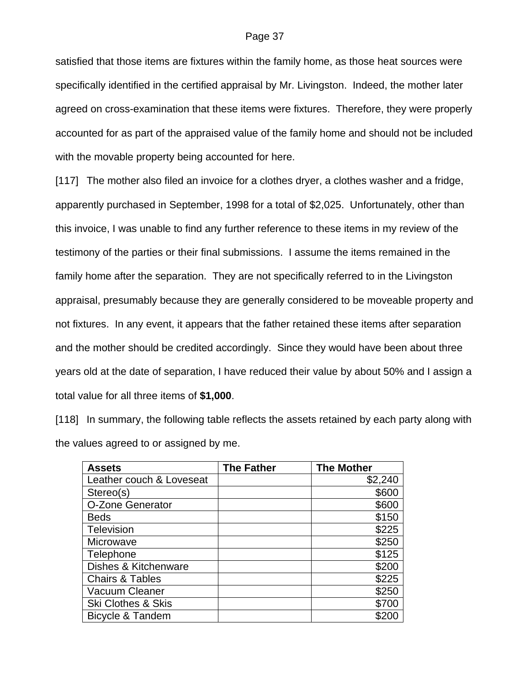satisfied that those items are fixtures within the family home, as those heat sources were specifically identified in the certified appraisal by Mr. Livingston. Indeed, the mother later agreed on cross-examination that these items were fixtures. Therefore, they were properly accounted for as part of the appraised value of the family home and should not be included with the movable property being accounted for here.

[117] The mother also filed an invoice for a clothes dryer, a clothes washer and a fridge, apparently purchased in September, 1998 for a total of \$2,025. Unfortunately, other than this invoice, I was unable to find any further reference to these items in my review of the testimony of the parties or their final submissions. I assume the items remained in the family home after the separation. They are not specifically referred to in the Livingston appraisal, presumably because they are generally considered to be moveable property and not fixtures. In any event, it appears that the father retained these items after separation and the mother should be credited accordingly. Since they would have been about three years old at the date of separation, I have reduced their value by about 50% and I assign a total value for all three items of **\$1,000**.

[118] In summary, the following table reflects the assets retained by each party along with the values agreed to or assigned by me.

| <b>Assets</b>                 | <b>The Father</b> | <b>The Mother</b> |
|-------------------------------|-------------------|-------------------|
| Leather couch & Loveseat      |                   | \$2,240           |
| Stereo(s)                     |                   | \$600             |
| O-Zone Generator              |                   | \$600             |
| <b>Beds</b>                   |                   | \$150             |
| <b>Television</b>             |                   | \$225             |
| Microwave                     |                   | \$250             |
| Telephone                     |                   | \$125             |
| Dishes & Kitchenware          |                   | \$200             |
| <b>Chairs &amp; Tables</b>    |                   | \$225             |
| Vacuum Cleaner                |                   | \$250             |
| <b>Ski Clothes &amp; Skis</b> |                   | \$700             |
| Bicycle & Tandem              |                   | \$20              |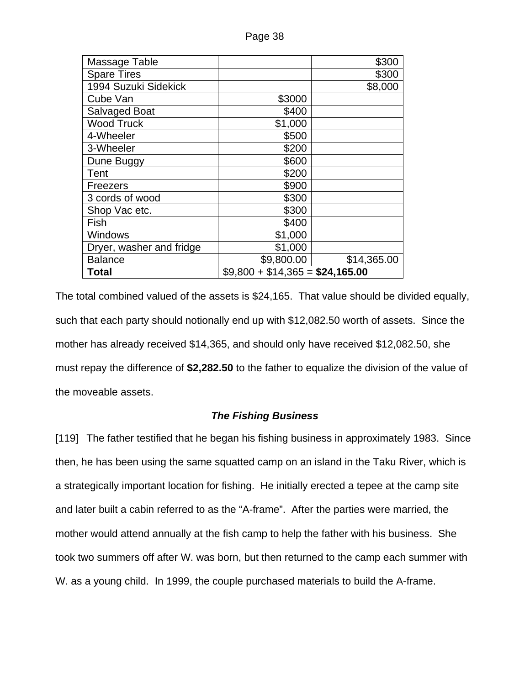| Massage Table            |                                 | \$300       |
|--------------------------|---------------------------------|-------------|
| <b>Spare Tires</b>       |                                 | \$300       |
| 1994 Suzuki Sidekick     |                                 | \$8,000     |
| Cube Van                 | \$3000                          |             |
| Salvaged Boat            | \$400                           |             |
| <b>Wood Truck</b>        | \$1,000                         |             |
| 4-Wheeler                | \$500                           |             |
| 3-Wheeler                | \$200                           |             |
| Dune Buggy               | \$600                           |             |
| Tent                     | \$200                           |             |
| Freezers                 | \$900                           |             |
| 3 cords of wood          | \$300                           |             |
| Shop Vac etc.            | \$300                           |             |
| Fish                     | \$400                           |             |
| Windows                  | \$1,000                         |             |
| Dryer, washer and fridge | \$1,000                         |             |
| <b>Balance</b>           | \$9,800.00                      | \$14,365.00 |
| <b>Total</b>             | $$9,800 + $14,365 = $24,165.00$ |             |

The total combined valued of the assets is \$24,165. That value should be divided equally, such that each party should notionally end up with \$12,082.50 worth of assets. Since the mother has already received \$14,365, and should only have received \$12,082.50, she must repay the difference of **\$2,282.50** to the father to equalize the division of the value of the moveable assets.

## *The Fishing Business*

[119] The father testified that he began his fishing business in approximately 1983. Since then, he has been using the same squatted camp on an island in the Taku River, which is a strategically important location for fishing. He initially erected a tepee at the camp site and later built a cabin referred to as the "A-frame". After the parties were married, the mother would attend annually at the fish camp to help the father with his business. She took two summers off after W. was born, but then returned to the camp each summer with W. as a young child. In 1999, the couple purchased materials to build the A-frame.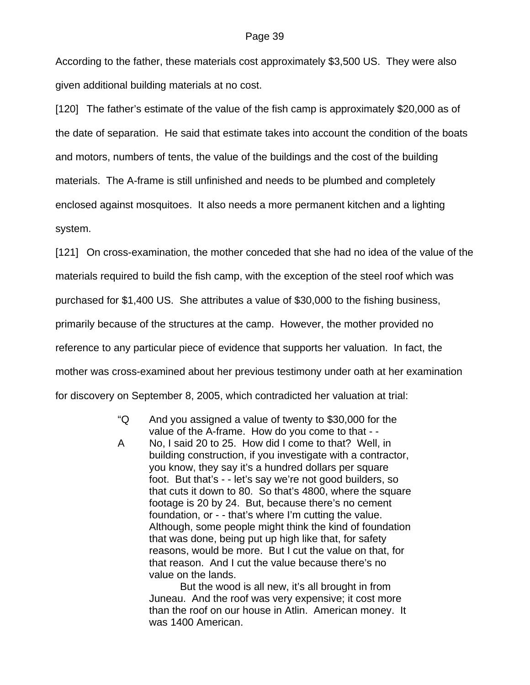According to the father, these materials cost approximately \$3,500 US. They were also given additional building materials at no cost.

[120] The father's estimate of the value of the fish camp is approximately \$20,000 as of the date of separation. He said that estimate takes into account the condition of the boats and motors, numbers of tents, the value of the buildings and the cost of the building materials. The A-frame is still unfinished and needs to be plumbed and completely enclosed against mosquitoes. It also needs a more permanent kitchen and a lighting system.

[121] On cross-examination, the mother conceded that she had no idea of the value of the materials required to build the fish camp, with the exception of the steel roof which was purchased for \$1,400 US. She attributes a value of \$30,000 to the fishing business, primarily because of the structures at the camp. However, the mother provided no reference to any particular piece of evidence that supports her valuation. In fact, the mother was cross-examined about her previous testimony under oath at her examination for discovery on September 8, 2005, which contradicted her valuation at trial:

- "Q And you assigned a value of twenty to \$30,000 for the value of the A-frame. How do you come to that - -
- A No, I said 20 to 25. How did I come to that? Well, in building construction, if you investigate with a contractor, you know, they say it's a hundred dollars per square foot. But that's - - let's say we're not good builders, so that cuts it down to 80. So that's 4800, where the square footage is 20 by 24. But, because there's no cement foundation, or - - that's where I'm cutting the value. Although, some people might think the kind of foundation that was done, being put up high like that, for safety reasons, would be more. But I cut the value on that, for that reason. And I cut the value because there's no value on the lands.

 But the wood is all new, it's all brought in from Juneau. And the roof was very expensive; it cost more than the roof on our house in Atlin. American money. It was 1400 American.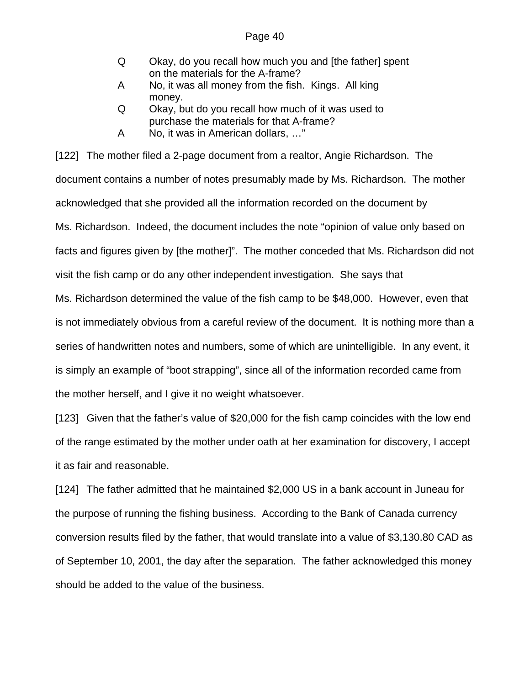- Q Okay, do you recall how much you and [the father] spent on the materials for the A-frame?
- A No, it was all money from the fish. Kings. All king money.
- Q Okay, but do you recall how much of it was used to purchase the materials for that A-frame?
- A No, it was in American dollars, …"

[122] The mother filed a 2-page document from a realtor, Angie Richardson. The document contains a number of notes presumably made by Ms. Richardson. The mother acknowledged that she provided all the information recorded on the document by Ms. Richardson. Indeed, the document includes the note "opinion of value only based on facts and figures given by [the mother]". The mother conceded that Ms. Richardson did not visit the fish camp or do any other independent investigation. She says that

Ms. Richardson determined the value of the fish camp to be \$48,000. However, even that is not immediately obvious from a careful review of the document. It is nothing more than a series of handwritten notes and numbers, some of which are unintelligible. In any event, it is simply an example of "boot strapping", since all of the information recorded came from the mother herself, and I give it no weight whatsoever.

[123] Given that the father's value of \$20,000 for the fish camp coincides with the low end of the range estimated by the mother under oath at her examination for discovery, I accept it as fair and reasonable.

[124] The father admitted that he maintained \$2,000 US in a bank account in Juneau for the purpose of running the fishing business. According to the Bank of Canada currency conversion results filed by the father, that would translate into a value of \$3,130.80 CAD as of September 10, 2001, the day after the separation. The father acknowledged this money should be added to the value of the business.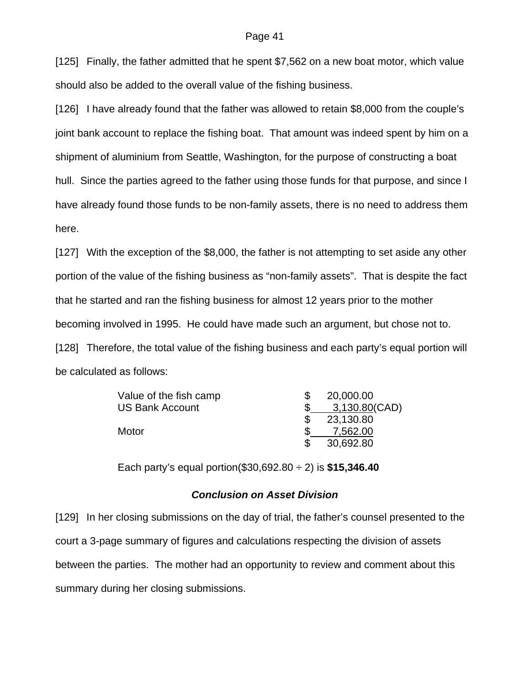[125] Finally, the father admitted that he spent \$7,562 on a new boat motor, which value should also be added to the overall value of the fishing business.

[126] I have already found that the father was allowed to retain \$8,000 from the couple's joint bank account to replace the fishing boat. That amount was indeed spent by him on a shipment of aluminium from Seattle, Washington, for the purpose of constructing a boat hull. Since the parties agreed to the father using those funds for that purpose, and since I have already found those funds to be non-family assets, there is no need to address them here.

[127] With the exception of the \$8,000, the father is not attempting to set aside any other portion of the value of the fishing business as "non-family assets". That is despite the fact that he started and ran the fishing business for almost 12 years prior to the mother becoming involved in 1995. He could have made such an argument, but chose not to. [128] Therefore, the total value of the fishing business and each party's equal portion will be calculated as follows:

| Value of the fish camp | 20,000.00     |
|------------------------|---------------|
| US Bank Account        | 3,130.80(CAD) |
|                        | 23,130.80     |
| Motor                  | 7.562.00      |
|                        | 30,692.80     |

Each party's equal portion(\$30,692.80 ÷ 2) is **\$15,346.40** 

## *Conclusion on Asset Division*

[129] In her closing submissions on the day of trial, the father's counsel presented to the court a 3-page summary of figures and calculations respecting the division of assets between the parties. The mother had an opportunity to review and comment about this summary during her closing submissions.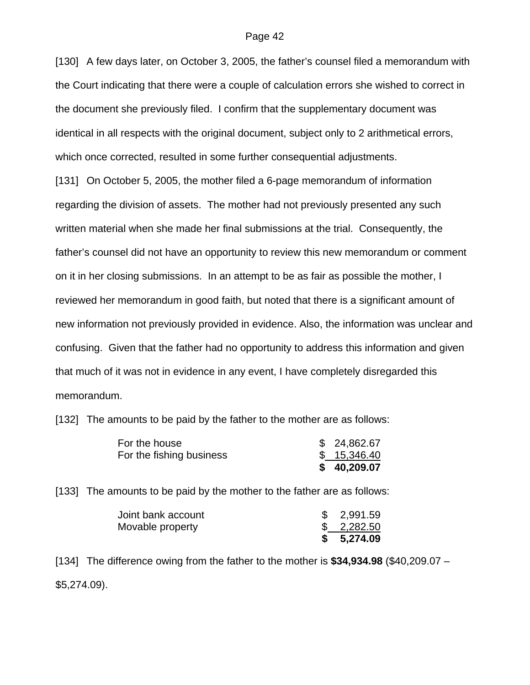[130] A few days later, on October 3, 2005, the father's counsel filed a memorandum with the Court indicating that there were a couple of calculation errors she wished to correct in the document she previously filed. I confirm that the supplementary document was identical in all respects with the original document, subject only to 2 arithmetical errors, which once corrected, resulted in some further consequential adjustments.

[131] On October 5, 2005, the mother filed a 6-page memorandum of information regarding the division of assets. The mother had not previously presented any such written material when she made her final submissions at the trial. Consequently, the father's counsel did not have an opportunity to review this new memorandum or comment on it in her closing submissions. In an attempt to be as fair as possible the mother, I reviewed her memorandum in good faith, but noted that there is a significant amount of new information not previously provided in evidence. Also, the information was unclear and confusing. Given that the father had no opportunity to address this information and given that much of it was not in evidence in any event, I have completely disregarded this memorandum.

[132] The amounts to be paid by the father to the mother are as follows:

| For the house            | \$24,862.67 |
|--------------------------|-------------|
| For the fishing business | \$15,346.40 |
|                          | \$40,209.07 |

[133] The amounts to be paid by the mother to the father are as follows:

| Joint bank account | \$2,991.59 |
|--------------------|------------|
| Movable property   | \$2,282.50 |
|                    | \$5,274.09 |

[134] The difference owing from the father to the mother is **\$34,934.98** (\$40,209.07 – \$5,274.09).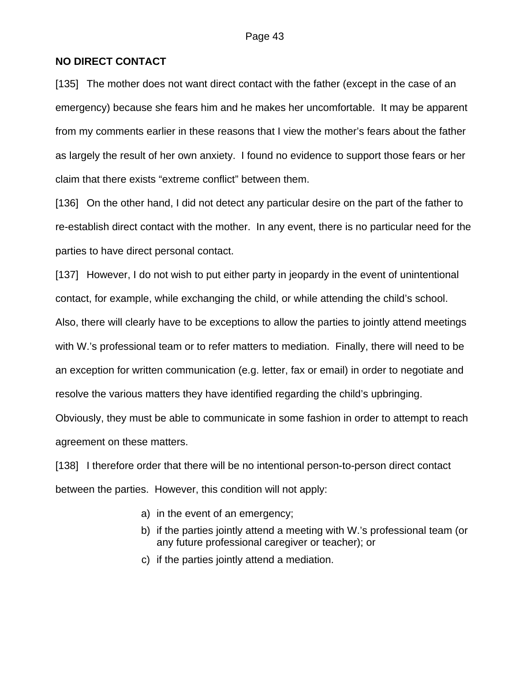## **NO DIRECT CONTACT**

[135] The mother does not want direct contact with the father (except in the case of an emergency) because she fears him and he makes her uncomfortable. It may be apparent from my comments earlier in these reasons that I view the mother's fears about the father as largely the result of her own anxiety. I found no evidence to support those fears or her claim that there exists "extreme conflict" between them.

[136] On the other hand, I did not detect any particular desire on the part of the father to re-establish direct contact with the mother. In any event, there is no particular need for the parties to have direct personal contact.

[137] However, I do not wish to put either party in jeopardy in the event of unintentional contact, for example, while exchanging the child, or while attending the child's school.

Also, there will clearly have to be exceptions to allow the parties to jointly attend meetings with W.'s professional team or to refer matters to mediation. Finally, there will need to be an exception for written communication (e.g. letter, fax or email) in order to negotiate and resolve the various matters they have identified regarding the child's upbringing.

Obviously, they must be able to communicate in some fashion in order to attempt to reach agreement on these matters.

[138] I therefore order that there will be no intentional person-to-person direct contact between the parties. However, this condition will not apply:

- a) in the event of an emergency;
- b) if the parties jointly attend a meeting with W.'s professional team (or any future professional caregiver or teacher); or
- c) if the parties jointly attend a mediation.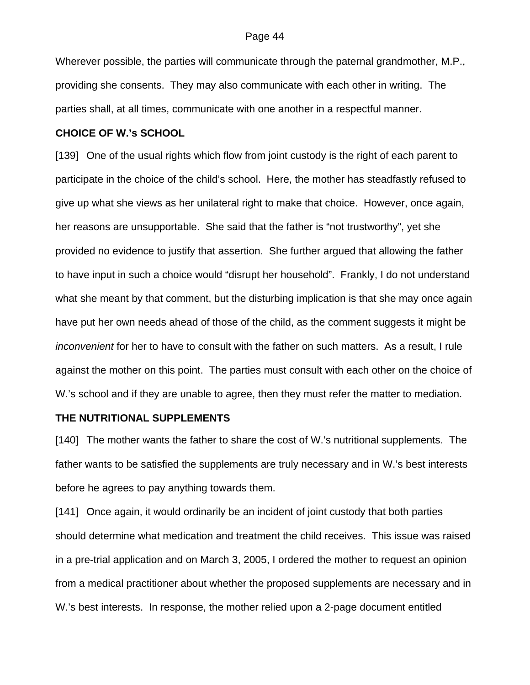Wherever possible, the parties will communicate through the paternal grandmother, M.P., providing she consents. They may also communicate with each other in writing. The parties shall, at all times, communicate with one another in a respectful manner.

## **CHOICE OF W.'s SCHOOL**

[139] One of the usual rights which flow from joint custody is the right of each parent to participate in the choice of the child's school. Here, the mother has steadfastly refused to give up what she views as her unilateral right to make that choice. However, once again, her reasons are unsupportable. She said that the father is "not trustworthy", yet she provided no evidence to justify that assertion. She further argued that allowing the father to have input in such a choice would "disrupt her household". Frankly, I do not understand what she meant by that comment, but the disturbing implication is that she may once again have put her own needs ahead of those of the child, as the comment suggests it might be *inconvenient* for her to have to consult with the father on such matters. As a result, I rule against the mother on this point. The parties must consult with each other on the choice of W.'s school and if they are unable to agree, then they must refer the matter to mediation.

### **THE NUTRITIONAL SUPPLEMENTS**

[140] The mother wants the father to share the cost of W.'s nutritional supplements. The father wants to be satisfied the supplements are truly necessary and in W.'s best interests before he agrees to pay anything towards them.

[141] Once again, it would ordinarily be an incident of joint custody that both parties should determine what medication and treatment the child receives. This issue was raised in a pre-trial application and on March 3, 2005, I ordered the mother to request an opinion from a medical practitioner about whether the proposed supplements are necessary and in W.'s best interests. In response, the mother relied upon a 2-page document entitled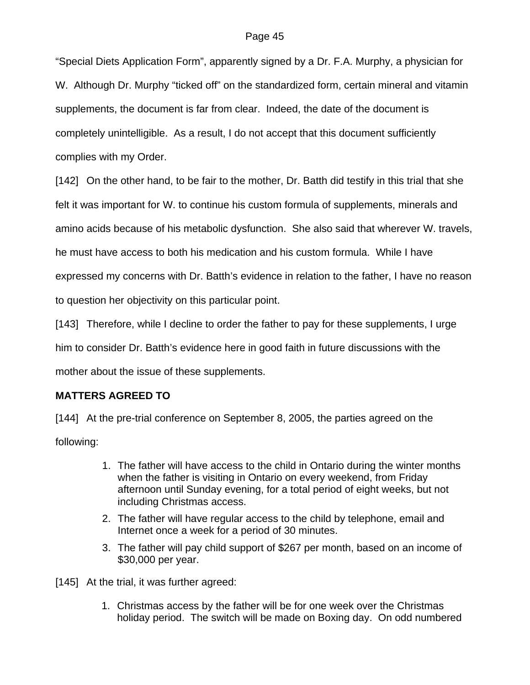"Special Diets Application Form", apparently signed by a Dr. F.A. Murphy, a physician for W. Although Dr. Murphy "ticked off" on the standardized form, certain mineral and vitamin supplements, the document is far from clear. Indeed, the date of the document is completely unintelligible. As a result, I do not accept that this document sufficiently complies with my Order.

[142] On the other hand, to be fair to the mother, Dr. Batth did testify in this trial that she felt it was important for W. to continue his custom formula of supplements, minerals and amino acids because of his metabolic dysfunction. She also said that wherever W. travels, he must have access to both his medication and his custom formula. While I have expressed my concerns with Dr. Batth's evidence in relation to the father, I have no reason to question her objectivity on this particular point.

[143] Therefore, while I decline to order the father to pay for these supplements, I urge him to consider Dr. Batth's evidence here in good faith in future discussions with the mother about the issue of these supplements.

# **MATTERS AGREED TO**

[144] At the pre-trial conference on September 8, 2005, the parties agreed on the following:

- 1. The father will have access to the child in Ontario during the winter months when the father is visiting in Ontario on every weekend, from Friday afternoon until Sunday evening, for a total period of eight weeks, but not including Christmas access.
- 2. The father will have regular access to the child by telephone, email and Internet once a week for a period of 30 minutes.
- 3. The father will pay child support of \$267 per month, based on an income of \$30,000 per year.

[145] At the trial, it was further agreed:

1. Christmas access by the father will be for one week over the Christmas holiday period. The switch will be made on Boxing day. On odd numbered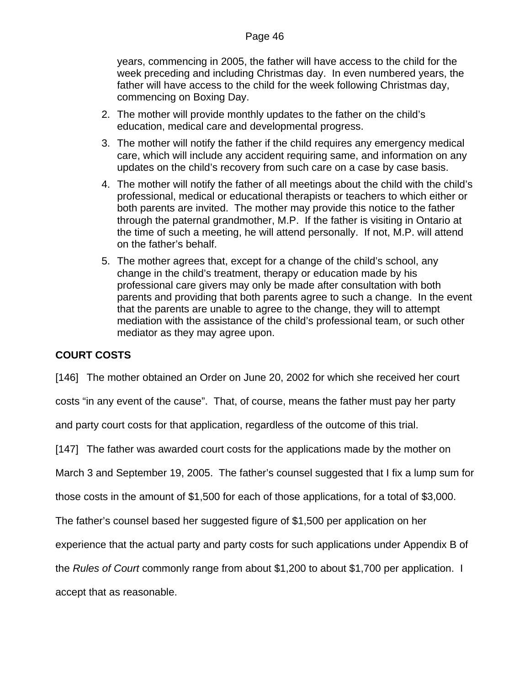years, commencing in 2005, the father will have access to the child for the week preceding and including Christmas day. In even numbered years, the father will have access to the child for the week following Christmas day, commencing on Boxing Day.

- 2. The mother will provide monthly updates to the father on the child's education, medical care and developmental progress.
- 3. The mother will notify the father if the child requires any emergency medical care, which will include any accident requiring same, and information on any updates on the child's recovery from such care on a case by case basis.
- 4. The mother will notify the father of all meetings about the child with the child's professional, medical or educational therapists or teachers to which either or both parents are invited. The mother may provide this notice to the father through the paternal grandmother, M.P. If the father is visiting in Ontario at the time of such a meeting, he will attend personally. If not, M.P. will attend on the father's behalf.
- 5. The mother agrees that, except for a change of the child's school, any change in the child's treatment, therapy or education made by his professional care givers may only be made after consultation with both parents and providing that both parents agree to such a change. In the event that the parents are unable to agree to the change, they will to attempt mediation with the assistance of the child's professional team, or such other mediator as they may agree upon.

## **COURT COSTS**

[146] The mother obtained an Order on June 20, 2002 for which she received her court

costs "in any event of the cause". That, of course, means the father must pay her party

and party court costs for that application, regardless of the outcome of this trial.

[147] The father was awarded court costs for the applications made by the mother on

March 3 and September 19, 2005. The father's counsel suggested that I fix a lump sum for

those costs in the amount of \$1,500 for each of those applications, for a total of \$3,000.

The father's counsel based her suggested figure of \$1,500 per application on her

experience that the actual party and party costs for such applications under Appendix B of

the *Rules of Court* commonly range from about \$1,200 to about \$1,700 per application. I

accept that as reasonable.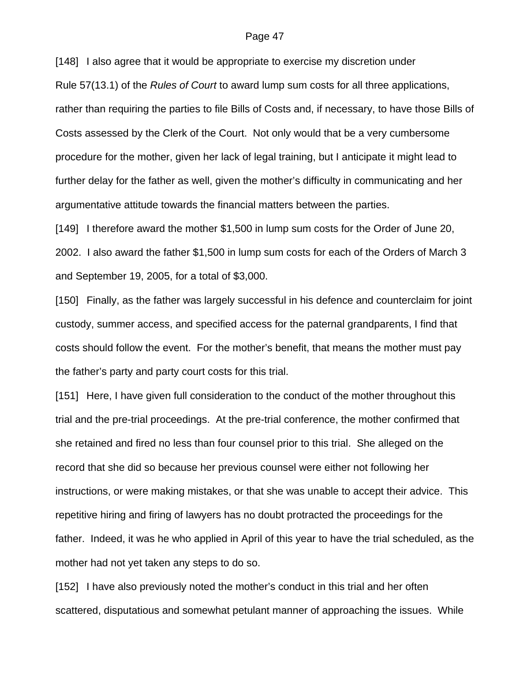[148] I also agree that it would be appropriate to exercise my discretion under

Rule 57(13.1) of the *Rules of Court* to award lump sum costs for all three applications, rather than requiring the parties to file Bills of Costs and, if necessary, to have those Bills of Costs assessed by the Clerk of the Court. Not only would that be a very cumbersome procedure for the mother, given her lack of legal training, but I anticipate it might lead to further delay for the father as well, given the mother's difficulty in communicating and her argumentative attitude towards the financial matters between the parties.

[149] I therefore award the mother \$1,500 in lump sum costs for the Order of June 20, 2002. I also award the father \$1,500 in lump sum costs for each of the Orders of March 3 and September 19, 2005, for a total of \$3,000.

[150] Finally, as the father was largely successful in his defence and counterclaim for joint custody, summer access, and specified access for the paternal grandparents, I find that costs should follow the event. For the mother's benefit, that means the mother must pay the father's party and party court costs for this trial.

[151] Here, I have given full consideration to the conduct of the mother throughout this trial and the pre-trial proceedings. At the pre-trial conference, the mother confirmed that she retained and fired no less than four counsel prior to this trial. She alleged on the record that she did so because her previous counsel were either not following her instructions, or were making mistakes, or that she was unable to accept their advice. This repetitive hiring and firing of lawyers has no doubt protracted the proceedings for the father. Indeed, it was he who applied in April of this year to have the trial scheduled, as the mother had not yet taken any steps to do so.

[152] I have also previously noted the mother's conduct in this trial and her often scattered, disputatious and somewhat petulant manner of approaching the issues. While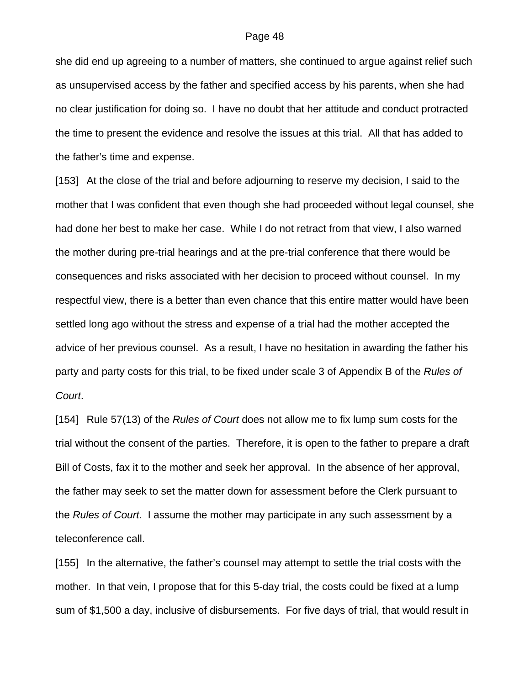she did end up agreeing to a number of matters, she continued to argue against relief such as unsupervised access by the father and specified access by his parents, when she had no clear justification for doing so. I have no doubt that her attitude and conduct protracted the time to present the evidence and resolve the issues at this trial. All that has added to the father's time and expense.

[153] At the close of the trial and before adjourning to reserve my decision, I said to the mother that I was confident that even though she had proceeded without legal counsel, she had done her best to make her case. While I do not retract from that view, I also warned the mother during pre-trial hearings and at the pre-trial conference that there would be consequences and risks associated with her decision to proceed without counsel. In my respectful view, there is a better than even chance that this entire matter would have been settled long ago without the stress and expense of a trial had the mother accepted the advice of her previous counsel. As a result, I have no hesitation in awarding the father his party and party costs for this trial, to be fixed under scale 3 of Appendix B of the *Rules of Court*.

[154] Rule 57(13) of the *Rules of Court* does not allow me to fix lump sum costs for the trial without the consent of the parties. Therefore, it is open to the father to prepare a draft Bill of Costs, fax it to the mother and seek her approval. In the absence of her approval, the father may seek to set the matter down for assessment before the Clerk pursuant to the *Rules of Court*. I assume the mother may participate in any such assessment by a teleconference call.

[155] In the alternative, the father's counsel may attempt to settle the trial costs with the mother. In that vein, I propose that for this 5-day trial, the costs could be fixed at a lump sum of \$1,500 a day, inclusive of disbursements. For five days of trial, that would result in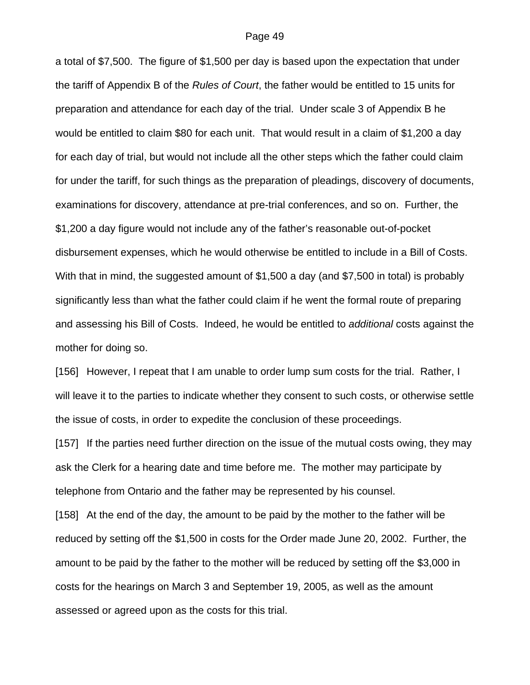a total of \$7,500. The figure of \$1,500 per day is based upon the expectation that under the tariff of Appendix B of the *Rules of Court*, the father would be entitled to 15 units for preparation and attendance for each day of the trial. Under scale 3 of Appendix B he would be entitled to claim \$80 for each unit. That would result in a claim of \$1,200 a day for each day of trial, but would not include all the other steps which the father could claim for under the tariff, for such things as the preparation of pleadings, discovery of documents, examinations for discovery, attendance at pre-trial conferences, and so on. Further, the \$1,200 a day figure would not include any of the father's reasonable out-of-pocket disbursement expenses, which he would otherwise be entitled to include in a Bill of Costs. With that in mind, the suggested amount of \$1,500 a day (and \$7,500 in total) is probably significantly less than what the father could claim if he went the formal route of preparing and assessing his Bill of Costs. Indeed, he would be entitled to *additional* costs against the mother for doing so.

[156] However, I repeat that I am unable to order lump sum costs for the trial. Rather, I will leave it to the parties to indicate whether they consent to such costs, or otherwise settle the issue of costs, in order to expedite the conclusion of these proceedings.

[157] If the parties need further direction on the issue of the mutual costs owing, they may ask the Clerk for a hearing date and time before me. The mother may participate by telephone from Ontario and the father may be represented by his counsel.

[158] At the end of the day, the amount to be paid by the mother to the father will be reduced by setting off the \$1,500 in costs for the Order made June 20, 2002. Further, the amount to be paid by the father to the mother will be reduced by setting off the \$3,000 in costs for the hearings on March 3 and September 19, 2005, as well as the amount assessed or agreed upon as the costs for this trial.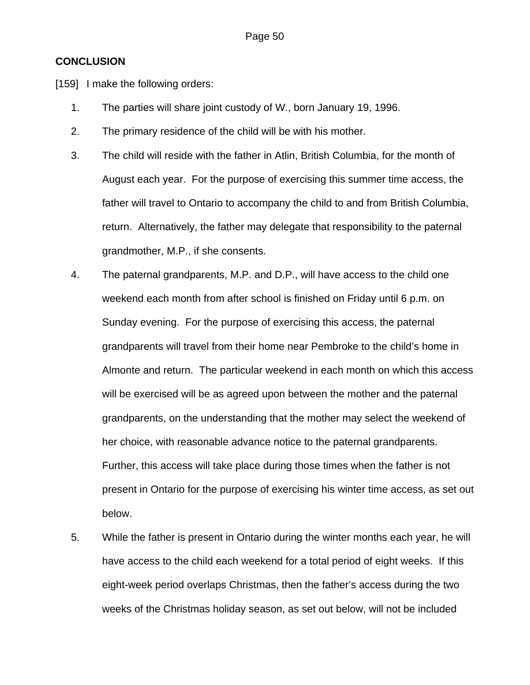## **CONCLUSION**

[159] I make the following orders:

- 1. The parties will share joint custody of W., born January 19, 1996.
- 2. The primary residence of the child will be with his mother.
- 3. The child will reside with the father in Atlin, British Columbia, for the month of August each year. For the purpose of exercising this summer time access, the father will travel to Ontario to accompany the child to and from British Columbia, return. Alternatively, the father may delegate that responsibility to the paternal grandmother, M.P., if she consents.
- 4. The paternal grandparents, M.P. and D.P., will have access to the child one weekend each month from after school is finished on Friday until 6 p.m. on Sunday evening. For the purpose of exercising this access, the paternal grandparents will travel from their home near Pembroke to the child's home in Almonte and return. The particular weekend in each month on which this access will be exercised will be as agreed upon between the mother and the paternal grandparents, on the understanding that the mother may select the weekend of her choice, with reasonable advance notice to the paternal grandparents. Further, this access will take place during those times when the father is not present in Ontario for the purpose of exercising his winter time access, as set out below.
- 5. While the father is present in Ontario during the winter months each year, he will have access to the child each weekend for a total period of eight weeks. If this eight-week period overlaps Christmas, then the father's access during the two weeks of the Christmas holiday season, as set out below, will not be included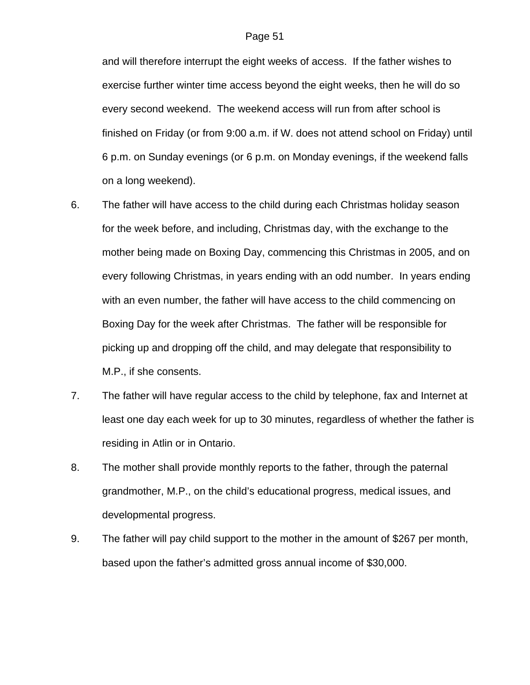and will therefore interrupt the eight weeks of access. If the father wishes to exercise further winter time access beyond the eight weeks, then he will do so every second weekend. The weekend access will run from after school is finished on Friday (or from 9:00 a.m. if W. does not attend school on Friday) until 6 p.m. on Sunday evenings (or 6 p.m. on Monday evenings, if the weekend falls on a long weekend).

- 6. The father will have access to the child during each Christmas holiday season for the week before, and including, Christmas day, with the exchange to the mother being made on Boxing Day, commencing this Christmas in 2005, and on every following Christmas, in years ending with an odd number. In years ending with an even number, the father will have access to the child commencing on Boxing Day for the week after Christmas. The father will be responsible for picking up and dropping off the child, and may delegate that responsibility to M.P., if she consents.
- 7. The father will have regular access to the child by telephone, fax and Internet at least one day each week for up to 30 minutes, regardless of whether the father is residing in Atlin or in Ontario.
- 8. The mother shall provide monthly reports to the father, through the paternal grandmother, M.P., on the child's educational progress, medical issues, and developmental progress.
- 9. The father will pay child support to the mother in the amount of \$267 per month, based upon the father's admitted gross annual income of \$30,000.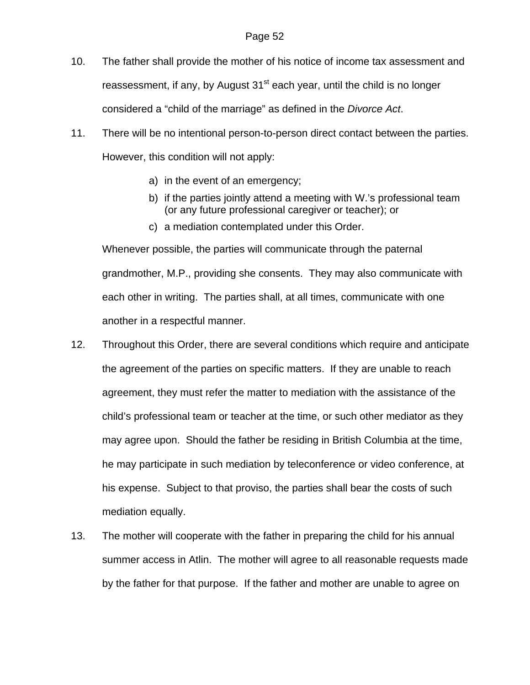- 10. The father shall provide the mother of his notice of income tax assessment and reassessment, if any, by August  $31<sup>st</sup>$  each year, until the child is no longer considered a "child of the marriage" as defined in the *Divorce Act*.
- 11. There will be no intentional person-to-person direct contact between the parties. However, this condition will not apply:
	- a) in the event of an emergency;
	- b) if the parties jointly attend a meeting with W.'s professional team (or any future professional caregiver or teacher); or
	- c) a mediation contemplated under this Order.

Whenever possible, the parties will communicate through the paternal grandmother, M.P., providing she consents. They may also communicate with each other in writing. The parties shall, at all times, communicate with one another in a respectful manner.

- 12. Throughout this Order, there are several conditions which require and anticipate the agreement of the parties on specific matters. If they are unable to reach agreement, they must refer the matter to mediation with the assistance of the child's professional team or teacher at the time, or such other mediator as they may agree upon. Should the father be residing in British Columbia at the time, he may participate in such mediation by teleconference or video conference, at his expense. Subject to that proviso, the parties shall bear the costs of such mediation equally.
- 13. The mother will cooperate with the father in preparing the child for his annual summer access in Atlin. The mother will agree to all reasonable requests made by the father for that purpose. If the father and mother are unable to agree on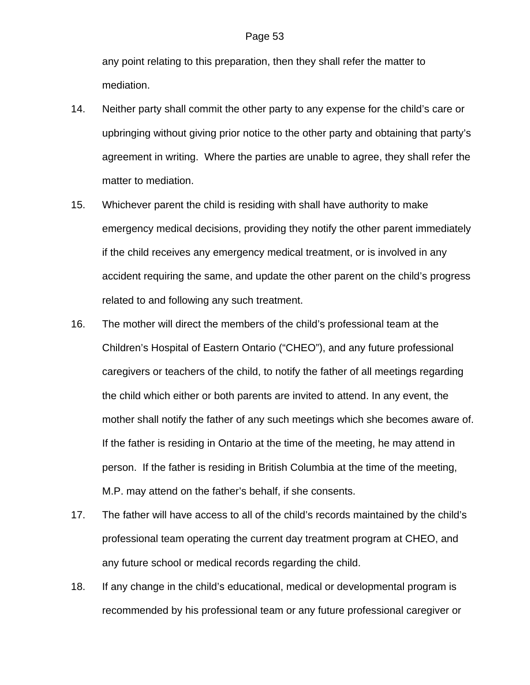any point relating to this preparation, then they shall refer the matter to mediation.

- 14. Neither party shall commit the other party to any expense for the child's care or upbringing without giving prior notice to the other party and obtaining that party's agreement in writing. Where the parties are unable to agree, they shall refer the matter to mediation.
- 15. Whichever parent the child is residing with shall have authority to make emergency medical decisions, providing they notify the other parent immediately if the child receives any emergency medical treatment, or is involved in any accident requiring the same, and update the other parent on the child's progress related to and following any such treatment.
- 16. The mother will direct the members of the child's professional team at the Children's Hospital of Eastern Ontario ("CHEO"), and any future professional caregivers or teachers of the child, to notify the father of all meetings regarding the child which either or both parents are invited to attend. In any event, the mother shall notify the father of any such meetings which she becomes aware of. If the father is residing in Ontario at the time of the meeting, he may attend in person. If the father is residing in British Columbia at the time of the meeting, M.P. may attend on the father's behalf, if she consents.
- 17. The father will have access to all of the child's records maintained by the child's professional team operating the current day treatment program at CHEO, and any future school or medical records regarding the child.
- 18. If any change in the child's educational, medical or developmental program is recommended by his professional team or any future professional caregiver or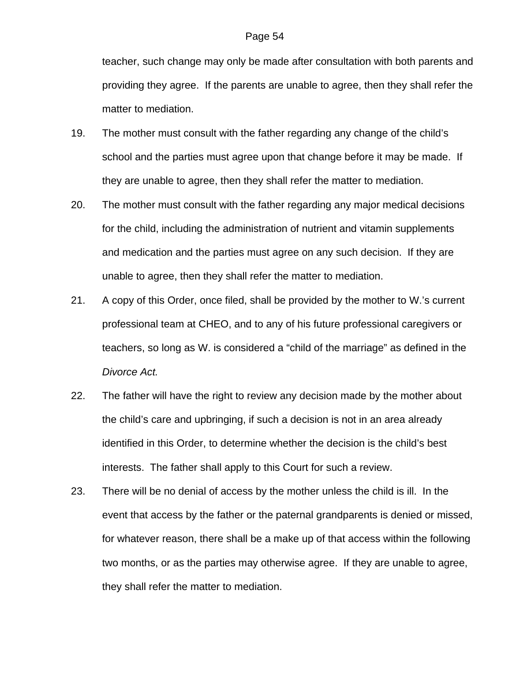teacher, such change may only be made after consultation with both parents and providing they agree. If the parents are unable to agree, then they shall refer the matter to mediation.

- 19. The mother must consult with the father regarding any change of the child's school and the parties must agree upon that change before it may be made. If they are unable to agree, then they shall refer the matter to mediation.
- 20. The mother must consult with the father regarding any major medical decisions for the child, including the administration of nutrient and vitamin supplements and medication and the parties must agree on any such decision. If they are unable to agree, then they shall refer the matter to mediation.
- 21. A copy of this Order, once filed, shall be provided by the mother to W.'s current professional team at CHEO, and to any of his future professional caregivers or teachers, so long as W. is considered a "child of the marriage" as defined in the *Divorce Act.*
- 22. The father will have the right to review any decision made by the mother about the child's care and upbringing, if such a decision is not in an area already identified in this Order, to determine whether the decision is the child's best interests. The father shall apply to this Court for such a review.
- 23. There will be no denial of access by the mother unless the child is ill. In the event that access by the father or the paternal grandparents is denied or missed, for whatever reason, there shall be a make up of that access within the following two months, or as the parties may otherwise agree. If they are unable to agree, they shall refer the matter to mediation.